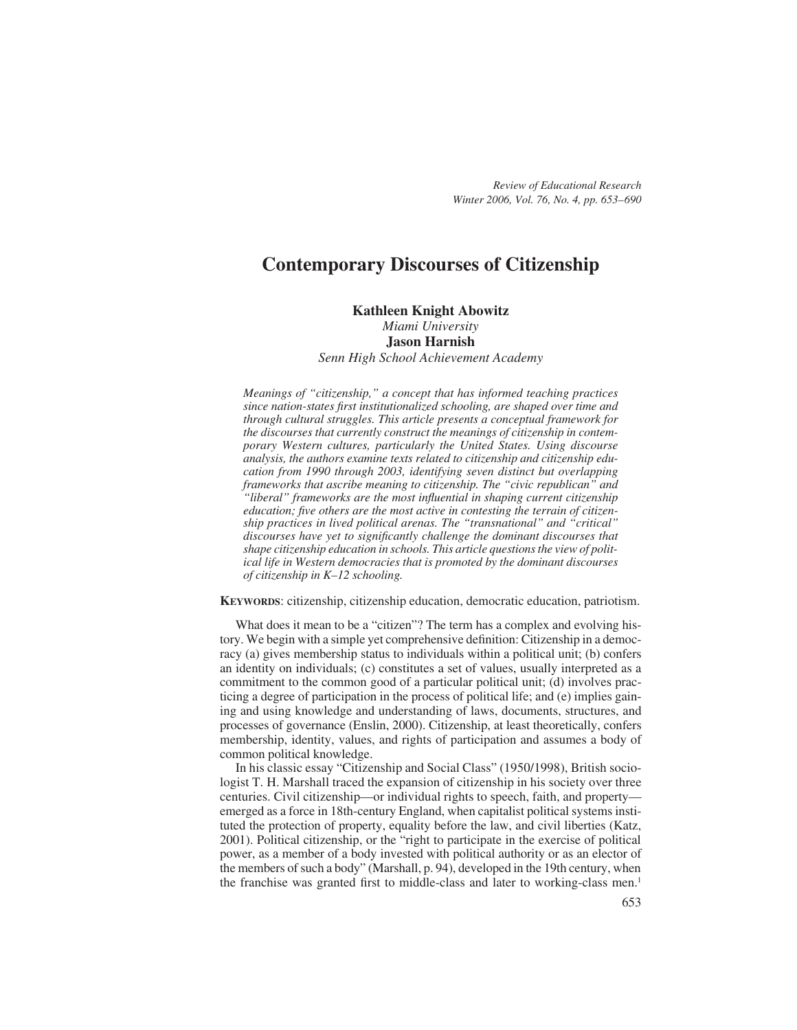# **Kathleen Knight Abowitz**

# *Miami University* **Jason Harnish** *Senn High School Achievement Academy*

*Meanings of "citizenship," a concept that has informed teaching practices since nation-states first institutionalized schooling, are shaped over time and through cultural struggles. This article presents a conceptual framework for the discourses that currently construct the meanings of citizenship in contemporary Western cultures, particularly the United States. Using discourse analysis, the authors examine texts related to citizenship and citizenship education from 1990 through 2003, identifying seven distinct but overlapping frameworks that ascribe meaning to citizenship. The "civic republican" and "liberal" frameworks are the most influential in shaping current citizenship education; five others are the most active in contesting the terrain of citizenship practices in lived political arenas. The "transnational" and "critical" discourses have yet to significantly challenge the dominant discourses that shape citizenship education in schools. This article questionsthe view of political life in Western democracies that is promoted by the dominant discourses of citizenship in K–12 schooling.*

**KEYWORDS**: citizenship, citizenship education, democratic education, patriotism.

What does it mean to be a "citizen"? The term has a complex and evolving history. We begin with a simple yet comprehensive definition: Citizenship in a democracy (a) gives membership status to individuals within a political unit; (b) confers an identity on individuals; (c) constitutes a set of values, usually interpreted as a commitment to the common good of a particular political unit; (d) involves practicing a degree of participation in the process of political life; and (e) implies gaining and using knowledge and understanding of laws, documents, structures, and processes of governance (Enslin, 2000). Citizenship, at least theoretically, confers membership, identity, values, and rights of participation and assumes a body of common political knowledge.

In his classic essay "Citizenship and Social Class" (1950/1998), British sociologist T. H. Marshall traced the expansion of citizenship in his society over three centuries. Civil citizenship—or individual rights to speech, faith, and property emerged as a force in 18th-century England, when capitalist political systems instituted the protection of property, equality before the law, and civil liberties (Katz, 2001). Political citizenship, or the "right to participate in the exercise of political power, as a member of a body invested with political authority or as an elector of the members ofsuch a body" (Marshall, p. 94), developed in the 19th century, when the franchise was granted first to middle-class and later to working-class men.1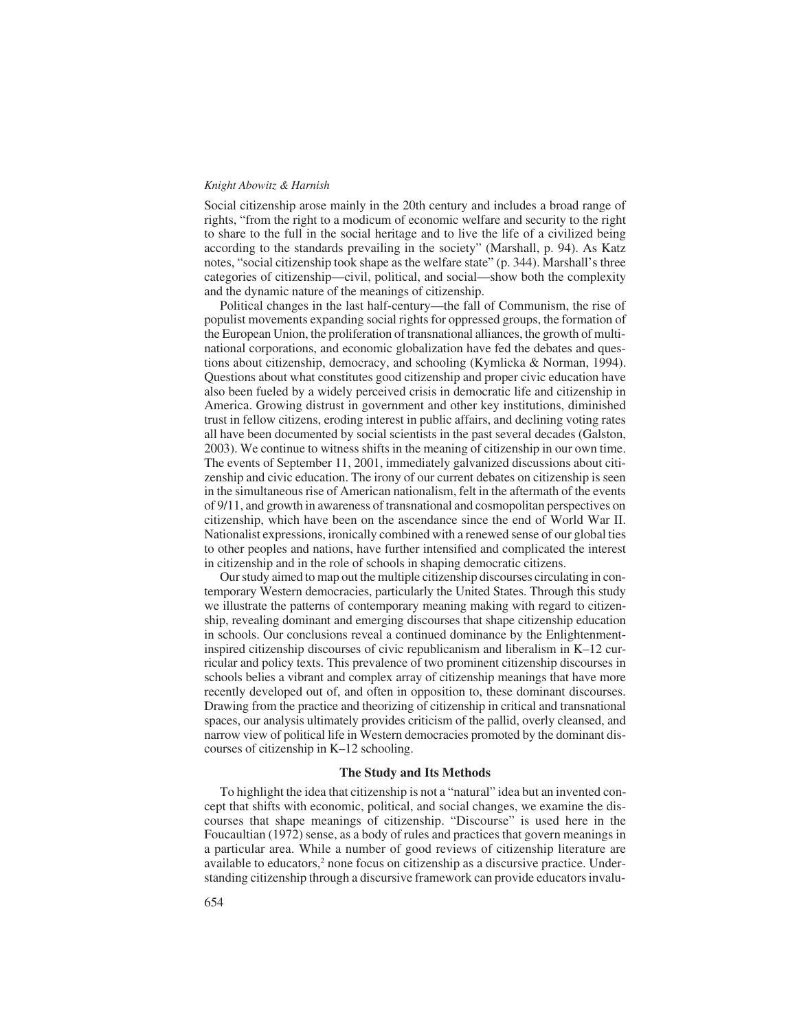Social citizenship arose mainly in the 20th century and includes a broad range of rights, "from the right to a modicum of economic welfare and security to the right to share to the full in the social heritage and to live the life of a civilized being according to the standards prevailing in the society" (Marshall, p. 94). As Katz notes, "social citizenship took shape as the welfare state" (p. 344). Marshall's three categories of citizenship—civil, political, and social—show both the complexity and the dynamic nature of the meanings of citizenship.

Political changes in the last half-century—the fall of Communism, the rise of populist movements expanding social rights for oppressed groups, the formation of the European Union, the proliferation of transnational alliances, the growth of multinational corporations, and economic globalization have fed the debates and questions about citizenship, democracy, and schooling (Kymlicka & Norman, 1994). Questions about what constitutes good citizenship and proper civic education have also been fueled by a widely perceived crisis in democratic life and citizenship in America. Growing distrust in government and other key institutions, diminished trust in fellow citizens, eroding interest in public affairs, and declining voting rates all have been documented by social scientists in the past several decades (Galston, 2003). We continue to witness shifts in the meaning of citizenship in our own time. The events of September 11, 2001, immediately galvanized discussions about citizenship and civic education. The irony of our current debates on citizenship is seen in the simultaneous rise of American nationalism, felt in the aftermath of the events of 9/11, and growth in awareness of transnational and cosmopolitan perspectives on citizenship, which have been on the ascendance since the end of World War II. Nationalist expressions, ironically combined with a renewed sense of our global ties to other peoples and nations, have further intensified and complicated the interest in citizenship and in the role of schools in shaping democratic citizens.

Ourstudy aimed to map out the multiple citizenship discourses circulating in contemporary Western democracies, particularly the United States. Through this study we illustrate the patterns of contemporary meaning making with regard to citizenship, revealing dominant and emerging discourses that shape citizenship education in schools. Our conclusions reveal a continued dominance by the Enlightenmentinspired citizenship discourses of civic republicanism and liberalism in K–12 curricular and policy texts. This prevalence of two prominent citizenship discourses in schools belies a vibrant and complex array of citizenship meanings that have more recently developed out of, and often in opposition to, these dominant discourses. Drawing from the practice and theorizing of citizenship in critical and transnational spaces, our analysis ultimately provides criticism of the pallid, overly cleansed, and narrow view of political life in Western democracies promoted by the dominant discourses of citizenship in K–12 schooling.

### **The Study and Its Methods**

To highlight the idea that citizenship is not a "natural" idea but an invented concept that shifts with economic, political, and social changes, we examine the discourses that shape meanings of citizenship. "Discourse" is used here in the Foucaultian (1972) sense, as a body of rules and practices that govern meanings in a particular area. While a number of good reviews of citizenship literature are available to educators,<sup>2</sup> none focus on citizenship as a discursive practice. Understanding citizenship through a discursive framework can provide educatorsinvalu-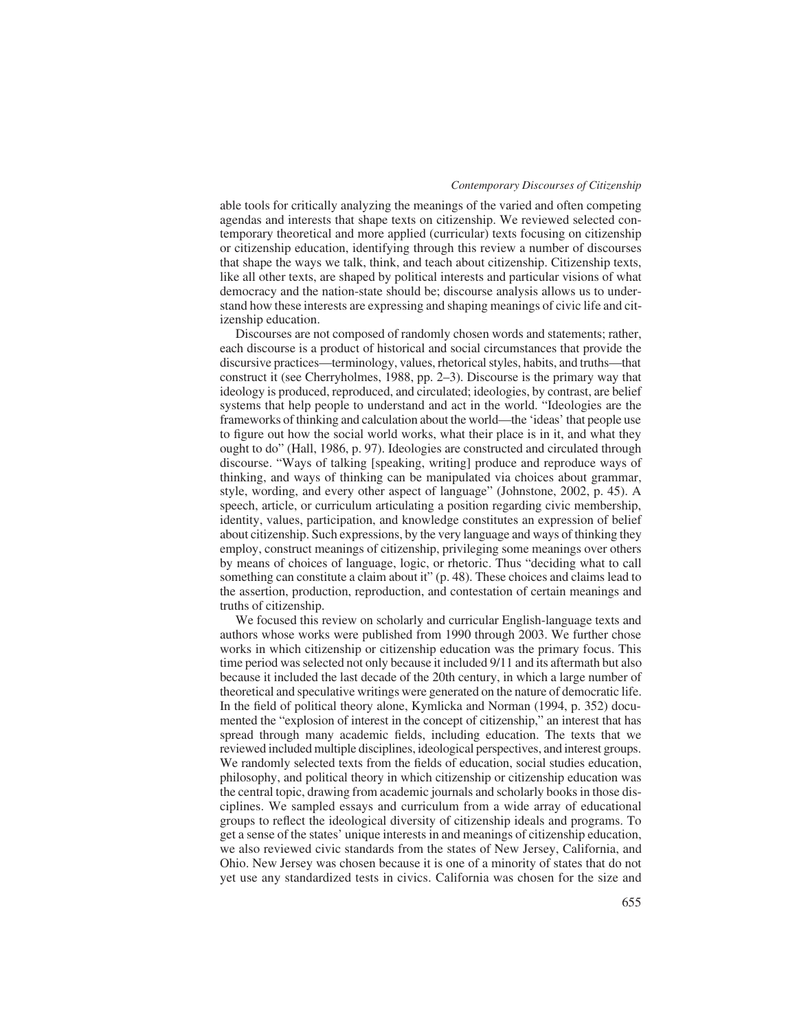able tools for critically analyzing the meanings of the varied and often competing agendas and interests that shape texts on citizenship. We reviewed selected contemporary theoretical and more applied (curricular) texts focusing on citizenship or citizenship education, identifying through this review a number of discourses that shape the ways we talk, think, and teach about citizenship. Citizenship texts, like all other texts, are shaped by political interests and particular visions of what democracy and the nation-state should be; discourse analysis allows us to understand how these interests are expressing and shaping meanings of civic life and citizenship education.

Discourses are not composed of randomly chosen words and statements; rather, each discourse is a product of historical and social circumstances that provide the discursive practices—terminology, values, rhetorical styles, habits, and truths—that construct it (see Cherryholmes, 1988, pp. 2–3). Discourse is the primary way that ideology is produced, reproduced, and circulated; ideologies, by contrast, are belief systems that help people to understand and act in the world. "Ideologies are the frameworks of thinking and calculation about the world—the 'ideas' that people use to figure out how the social world works, what their place is in it, and what they ought to do" (Hall, 1986, p. 97). Ideologies are constructed and circulated through discourse. "Ways of talking [speaking, writing] produce and reproduce ways of thinking, and ways of thinking can be manipulated via choices about grammar, style, wording, and every other aspect of language" (Johnstone, 2002, p. 45). A speech, article, or curriculum articulating a position regarding civic membership, identity, values, participation, and knowledge constitutes an expression of belief about citizenship. Such expressions, by the very language and ways of thinking they employ, construct meanings of citizenship, privileging some meanings over others by means of choices of language, logic, or rhetoric. Thus "deciding what to call something can constitute a claim about it" (p. 48). These choices and claims lead to the assertion, production, reproduction, and contestation of certain meanings and truths of citizenship.

We focused this review on scholarly and curricular English-language texts and authors whose works were published from 1990 through 2003. We further chose works in which citizenship or citizenship education was the primary focus. This time period wasselected not only because it included 9/11 and its aftermath but also because it included the last decade of the 20th century, in which a large number of theoretical and speculative writings were generated on the nature of democratic life. In the field of political theory alone, Kymlicka and Norman (1994, p. 352) documented the "explosion of interest in the concept of citizenship," an interest that has spread through many academic fields, including education. The texts that we reviewed included multiple disciplines, ideological perspectives, and interest groups. We randomly selected texts from the fields of education, social studies education, philosophy, and political theory in which citizenship or citizenship education was the central topic, drawing from academic journals and scholarly books in those disciplines. We sampled essays and curriculum from a wide array of educational groups to reflect the ideological diversity of citizenship ideals and programs. To get a sense of the states' unique interests in and meanings of citizenship education, we also reviewed civic standards from the states of New Jersey, California, and Ohio. New Jersey was chosen because it is one of a minority of states that do not yet use any standardized tests in civics. California was chosen for the size and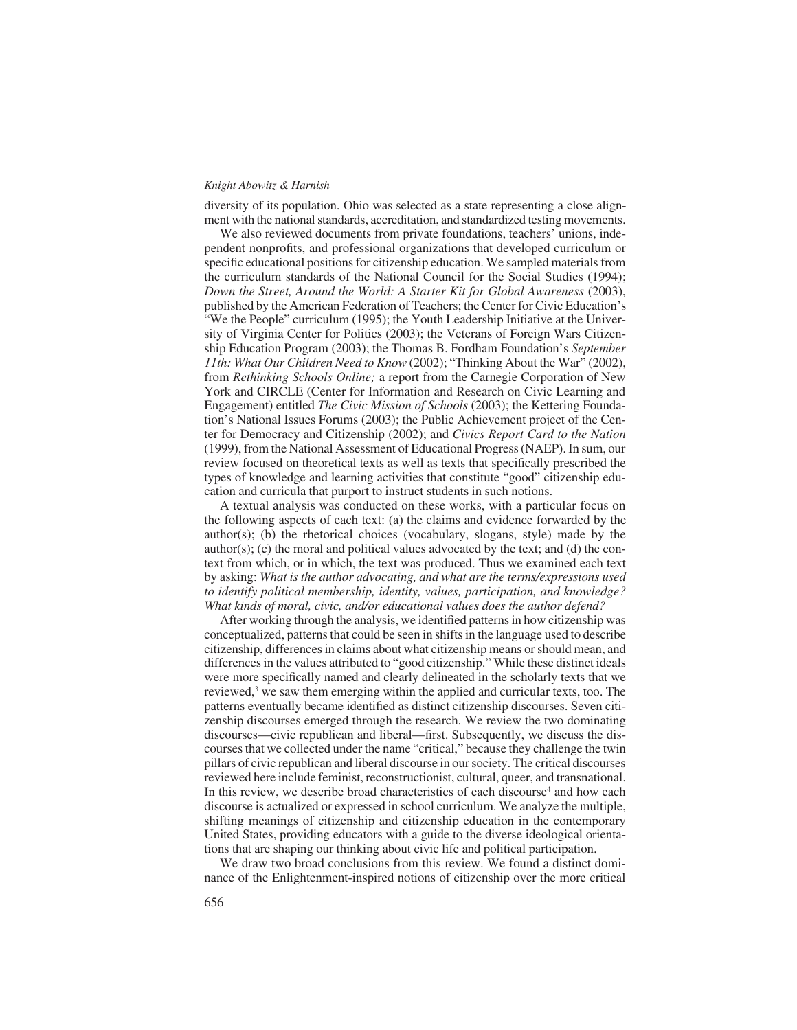diversity of its population. Ohio was selected as a state representing a close alignment with the national standards, accreditation, and standardized testing movements.

We also reviewed documents from private foundations, teachers' unions, independent nonprofits, and professional organizations that developed curriculum or specific educational positions for citizenship education. We sampled materials from the curriculum standards of the National Council for the Social Studies (1994); *Down the Street, Around the World: A Starter Kit for Global Awareness* (2003), published by the American Federation of Teachers; the Center for Civic Education's "We the People" curriculum (1995); the Youth Leadership Initiative at the University of Virginia Center for Politics (2003); the Veterans of Foreign Wars Citizenship Education Program (2003); the Thomas B. Fordham Foundation's *September 11th: What Our Children Need to Know* (2002); "Thinking About the War" (2002), from *Rethinking Schools Online;* a report from the Carnegie Corporation of New York and CIRCLE (Center for Information and Research on Civic Learning and Engagement) entitled *The Civic Mission of Schools* (2003); the Kettering Foundation's National Issues Forums (2003); the Public Achievement project of the Center for Democracy and Citizenship (2002); and *Civics Report Card to the Nation* (1999), from the National Assessment of Educational Progress(NAEP). In sum, our review focused on theoretical texts as well as texts that specifically prescribed the types of knowledge and learning activities that constitute "good" citizenship education and curricula that purport to instruct students in such notions.

A textual analysis was conducted on these works, with a particular focus on the following aspects of each text: (a) the claims and evidence forwarded by the author(s); (b) the rhetorical choices (vocabulary, slogans, style) made by the author(s); (c) the moral and political values advocated by the text; and (d) the context from which, or in which, the text was produced. Thus we examined each text by asking: *What is the author advocating, and what are the terms/expressions used to identify political membership, identity, values, participation, and knowledge? What kinds of moral, civic, and/or educational values does the author defend?*

After working through the analysis, we identified patternsin how citizenship was conceptualized, patternsthat could be seen in shiftsin the language used to describe citizenship, differences in claims about what citizenship means or should mean, and differences in the values attributed to "good citizenship." While these distinct ideals were more specifically named and clearly delineated in the scholarly texts that we reviewed, <sup>3</sup> we saw them emerging within the applied and curricular texts, too. The patterns eventually became identified as distinct citizenship discourses. Seven citizenship discourses emerged through the research. We review the two dominating discourses—civic republican and liberal—first. Subsequently, we discuss the discoursesthat we collected under the name "critical," because they challenge the twin pillars of civic republican and liberal discourse in oursociety. The critical discourses reviewed here include feminist, reconstructionist, cultural, queer, and transnational. In this review, we describe broad characteristics of each discourse<sup>4</sup> and how each discourse is actualized or expressed in school curriculum. We analyze the multiple, shifting meanings of citizenship and citizenship education in the contemporary United States, providing educators with a guide to the diverse ideological orientations that are shaping our thinking about civic life and political participation.

We draw two broad conclusions from this review. We found a distinct dominance of the Enlightenment-inspired notions of citizenship over the more critical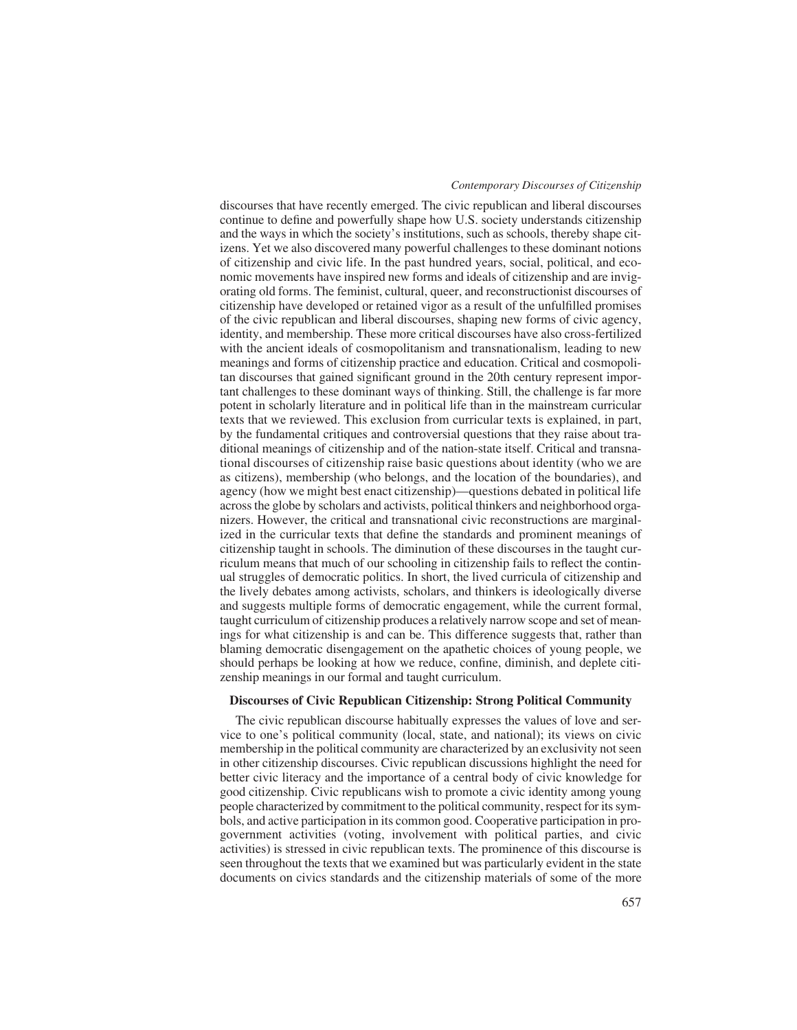discourses that have recently emerged. The civic republican and liberal discourses continue to define and powerfully shape how U.S. society understands citizenship and the ways in which the society's institutions, such as schools, thereby shape citizens. Yet we also discovered many powerful challenges to these dominant notions of citizenship and civic life. In the past hundred years, social, political, and economic movements have inspired new forms and ideals of citizenship and are invigorating old forms. The feminist, cultural, queer, and reconstructionist discourses of citizenship have developed or retained vigor as a result of the unfulfilled promises of the civic republican and liberal discourses, shaping new forms of civic agency, identity, and membership. These more critical discourses have also cross-fertilized with the ancient ideals of cosmopolitanism and transnationalism, leading to new meanings and forms of citizenship practice and education. Critical and cosmopolitan discourses that gained significant ground in the 20th century represent important challenges to these dominant ways of thinking. Still, the challenge is far more potent in scholarly literature and in political life than in the mainstream curricular texts that we reviewed. This exclusion from curricular texts is explained, in part, by the fundamental critiques and controversial questions that they raise about traditional meanings of citizenship and of the nation-state itself. Critical and transnational discourses of citizenship raise basic questions about identity (who we are as citizens), membership (who belongs, and the location of the boundaries), and agency (how we might best enact citizenship)—questions debated in political life acrossthe globe by scholars and activists, political thinkers and neighborhood organizers. However, the critical and transnational civic reconstructions are marginalized in the curricular texts that define the standards and prominent meanings of citizenship taught in schools. The diminution of these discourses in the taught curriculum means that much of our schooling in citizenship fails to reflect the continual struggles of democratic politics. In short, the lived curricula of citizenship and the lively debates among activists, scholars, and thinkers is ideologically diverse and suggests multiple forms of democratic engagement, while the current formal, taught curriculum of citizenship produces a relatively narrow scope and set of meanings for what citizenship is and can be. This difference suggests that, rather than blaming democratic disengagement on the apathetic choices of young people, we should perhaps be looking at how we reduce, confine, diminish, and deplete citizenship meanings in our formal and taught curriculum.

# **Discourses of Civic Republican Citizenship: Strong Political Community**

The civic republican discourse habitually expresses the values of love and service to one's political community (local, state, and national); its views on civic membership in the political community are characterized by an exclusivity not seen in other citizenship discourses. Civic republican discussions highlight the need for better civic literacy and the importance of a central body of civic knowledge for good citizenship. Civic republicans wish to promote a civic identity among young people characterized by commitment to the political community, respect for itssymbols, and active participation in its common good. Cooperative participation in progovernment activities (voting, involvement with political parties, and civic activities) is stressed in civic republican texts. The prominence of this discourse is seen throughout the texts that we examined but was particularly evident in the state documents on civics standards and the citizenship materials of some of the more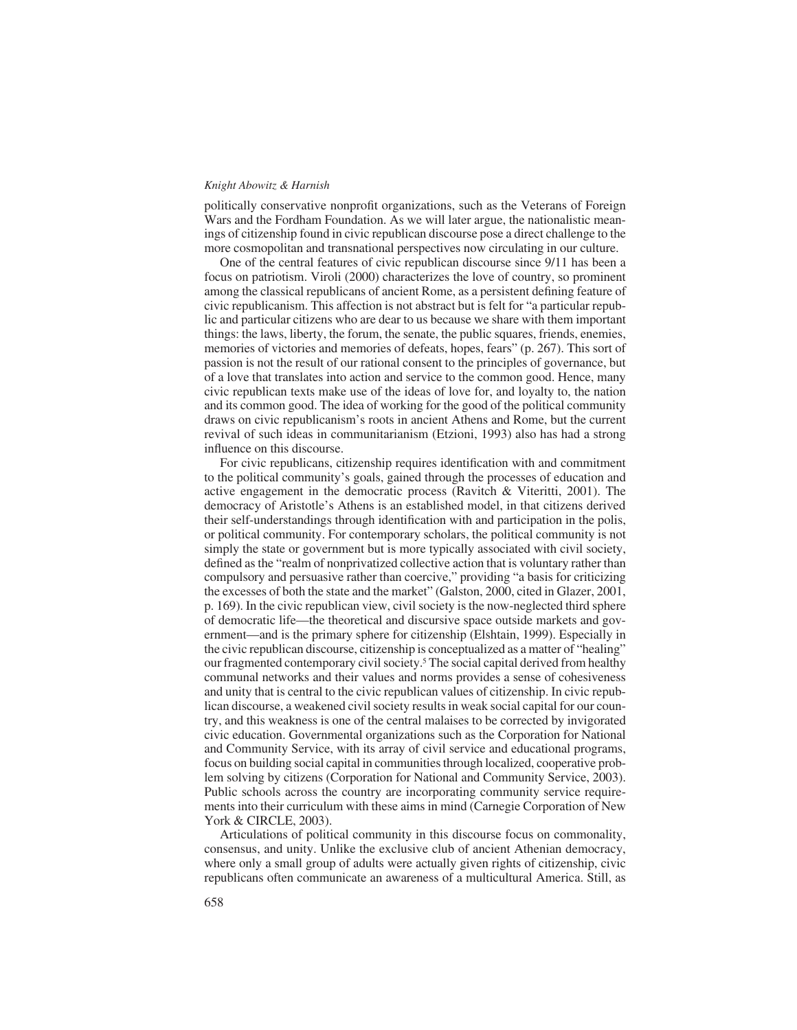politically conservative nonprofit organizations, such as the Veterans of Foreign Wars and the Fordham Foundation. As we will later argue, the nationalistic meanings of citizenship found in civic republican discourse pose a direct challenge to the more cosmopolitan and transnational perspectives now circulating in our culture.

One of the central features of civic republican discourse since 9/11 has been a focus on patriotism. Viroli (2000) characterizes the love of country, so prominent among the classical republicans of ancient Rome, as a persistent defining feature of civic republicanism. This affection is not abstract but is felt for "a particular republic and particular citizens who are dear to us because we share with them important things: the laws, liberty, the forum, the senate, the public squares, friends, enemies, memories of victories and memories of defeats, hopes, fears" (p. 267). This sort of passion is not the result of our rational consent to the principles of governance, but of a love that translates into action and service to the common good. Hence, many civic republican texts make use of the ideas of love for, and loyalty to, the nation and its common good. The idea of working for the good of the political community draws on civic republicanism's roots in ancient Athens and Rome, but the current revival of such ideas in communitarianism (Etzioni, 1993) also has had a strong influence on this discourse.

For civic republicans, citizenship requires identification with and commitment to the political community's goals, gained through the processes of education and active engagement in the democratic process (Ravitch & Viteritti, 2001). The democracy of Aristotle's Athens is an established model, in that citizens derived their self-understandings through identification with and participation in the polis, or political community. For contemporary scholars, the political community is not simply the state or government but is more typically associated with civil society, defined asthe "realm of nonprivatized collective action that is voluntary rather than compulsory and persuasive rather than coercive," providing "a basis for criticizing the excesses of both the state and the market" (Galston, 2000, cited in Glazer, 2001, p. 169). In the civic republican view, civil society is the now-neglected third sphere of democratic life—the theoretical and discursive space outside markets and government—and is the primary sphere for citizenship (Elshtain, 1999). Especially in the civic republican discourse, citizenship is conceptualized as a matter of "healing" our fragmented contemporary civil society.<sup>5</sup> The social capital derived from healthy communal networks and their values and norms provides a sense of cohesiveness and unity that is central to the civic republican values of citizenship. In civic republican discourse, a weakened civil society results in weak social capital for our country, and this weakness is one of the central malaises to be corrected by invigorated civic education. Governmental organizations such as the Corporation for National and Community Service, with its array of civil service and educational programs, focus on building social capital in communities through localized, cooperative problem solving by citizens (Corporation for National and Community Service, 2003). Public schools across the country are incorporating community service requirements into their curriculum with these aims in mind (Carnegie Corporation of New York & CIRCLE, 2003).

Articulations of political community in this discourse focus on commonality, consensus, and unity. Unlike the exclusive club of ancient Athenian democracy, where only a small group of adults were actually given rights of citizenship, civic republicans often communicate an awareness of a multicultural America. Still, as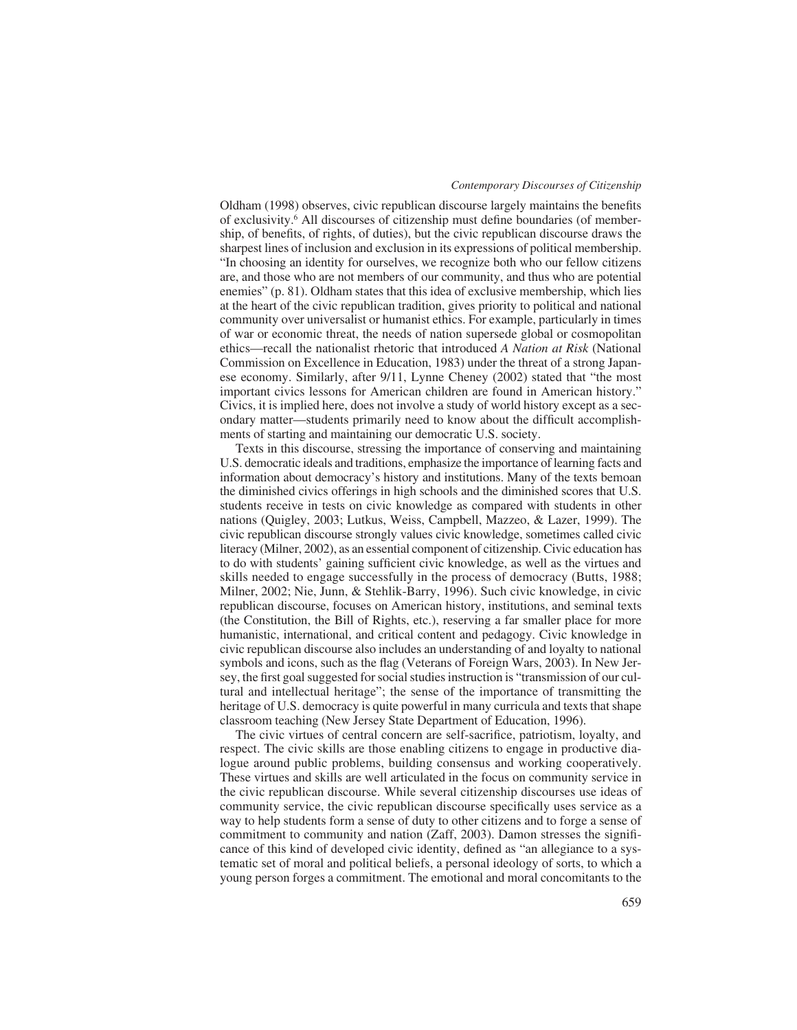Oldham (1998) observes, civic republican discourse largely maintains the benefits of exclusivity. <sup>6</sup> All discourses of citizenship must define boundaries (of membership, of benefits, of rights, of duties), but the civic republican discourse draws the sharpest lines of inclusion and exclusion in its expressions of political membership. "In choosing an identity for ourselves, we recognize both who our fellow citizens are, and those who are not members of our community, and thus who are potential enemies" (p. 81). Oldham states that this idea of exclusive membership, which lies at the heart of the civic republican tradition, gives priority to political and national community over universalist or humanist ethics. For example, particularly in times of war or economic threat, the needs of nation supersede global or cosmopolitan ethics—recall the nationalist rhetoric that introduced *A Nation at Risk* (National Commission on Excellence in Education, 1983) under the threat of a strong Japanese economy. Similarly, after 9/11, Lynne Cheney (2002) stated that "the most important civics lessons for American children are found in American history." Civics, it is implied here, does not involve a study of world history except as a secondary matter—students primarily need to know about the difficult accomplishments of starting and maintaining our democratic U.S. society.

Texts in this discourse, stressing the importance of conserving and maintaining U.S. democratic ideals and traditions, emphasize the importance of learning facts and information about democracy's history and institutions. Many of the texts bemoan the diminished civics offerings in high schools and the diminished scores that U.S. students receive in tests on civic knowledge as compared with students in other nations (Quigley, 2003; Lutkus, Weiss, Campbell, Mazzeo, & Lazer, 1999). The civic republican discourse strongly values civic knowledge, sometimes called civic literacy (Milner, 2002), as an essential component of citizenship.Civic education has to do with students' gaining sufficient civic knowledge, as well as the virtues and skills needed to engage successfully in the process of democracy (Butts, 1988; Milner, 2002; Nie, Junn, & Stehlik-Barry, 1996). Such civic knowledge, in civic republican discourse, focuses on American history, institutions, and seminal texts (the Constitution, the Bill of Rights, etc.), reserving a far smaller place for more humanistic, international, and critical content and pedagogy. Civic knowledge in civic republican discourse also includes an understanding of and loyalty to national symbols and icons, such as the flag (Veterans of Foreign Wars, 2003). In New Jersey, the first goal suggested for social studies instruction is "transmission of our cultural and intellectual heritage"; the sense of the importance of transmitting the heritage of U.S. democracy is quite powerful in many curricula and texts that shape classroom teaching (New Jersey State Department of Education, 1996).

The civic virtues of central concern are self-sacrifice, patriotism, loyalty, and respect. The civic skills are those enabling citizens to engage in productive dialogue around public problems, building consensus and working cooperatively. These virtues and skills are well articulated in the focus on community service in the civic republican discourse. While several citizenship discourses use ideas of community service, the civic republican discourse specifically uses service as a way to help students form a sense of duty to other citizens and to forge a sense of commitment to community and nation (Zaff, 2003). Damon stresses the significance of this kind of developed civic identity, defined as "an allegiance to a systematic set of moral and political beliefs, a personal ideology of sorts, to which a young person forges a commitment. The emotional and moral concomitants to the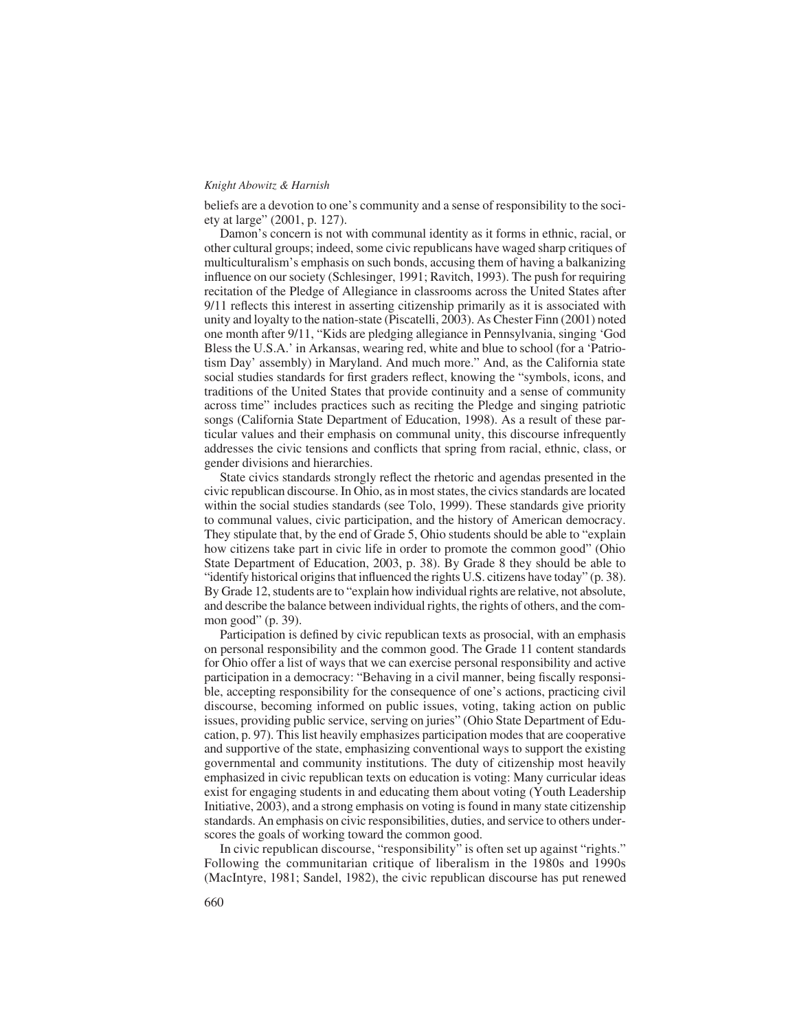beliefs are a devotion to one's community and a sense of responsibility to the society at large" (2001, p. 127).

Damon's concern is not with communal identity as it forms in ethnic, racial, or other cultural groups; indeed, some civic republicans have waged sharp critiques of multiculturalism's emphasis on such bonds, accusing them of having a balkanizing influence on our society (Schlesinger, 1991; Ravitch, 1993). The push for requiring recitation of the Pledge of Allegiance in classrooms across the United States after 9/11 reflects this interest in asserting citizenship primarily as it is associated with unity and loyalty to the nation-state (Piscatelli, 2003). As Chester Finn (2001) noted one month after 9/11, "Kids are pledging allegiance in Pennsylvania, singing 'God Bless the U.S.A.' in Arkansas, wearing red, white and blue to school (for a 'Patriotism Day' assembly) in Maryland. And much more." And, as the California state social studies standards for first graders reflect, knowing the "symbols, icons, and traditions of the United States that provide continuity and a sense of community across time" includes practices such as reciting the Pledge and singing patriotic songs (California State Department of Education, 1998). As a result of these particular values and their emphasis on communal unity, this discourse infrequently addresses the civic tensions and conflicts that spring from racial, ethnic, class, or gender divisions and hierarchies.

State civics standards strongly reflect the rhetoric and agendas presented in the civic republican discourse. In Ohio, as in most states, the civics standards are located within the social studies standards (see Tolo, 1999). These standards give priority to communal values, civic participation, and the history of American democracy. They stipulate that, by the end of Grade 5, Ohio students should be able to "explain how citizens take part in civic life in order to promote the common good" (Ohio State Department of Education, 2003, p. 38). By Grade 8 they should be able to "identify historical origins that influenced the rights U.S. citizens have today" (p. 38). By Grade 12, students are to "explain how individual rights are relative, not absolute, and describe the balance between individual rights, the rights of others, and the common good" (p. 39).

Participation is defined by civic republican texts as prosocial, with an emphasis on personal responsibility and the common good. The Grade 11 content standards for Ohio offer a list of ways that we can exercise personal responsibility and active participation in a democracy: "Behaving in a civil manner, being fiscally responsible, accepting responsibility for the consequence of one's actions, practicing civil discourse, becoming informed on public issues, voting, taking action on public issues, providing public service, serving on juries" (Ohio State Department of Education, p. 97). This list heavily emphasizes participation modes that are cooperative and supportive of the state, emphasizing conventional ways to support the existing governmental and community institutions. The duty of citizenship most heavily emphasized in civic republican texts on education is voting: Many curricular ideas exist for engaging students in and educating them about voting (Youth Leadership Initiative, 2003), and a strong emphasis on voting isfound in many state citizenship standards. An emphasis on civic responsibilities, duties, and service to others underscores the goals of working toward the common good.

In civic republican discourse, "responsibility" is often set up against "rights." Following the communitarian critique of liberalism in the 1980s and 1990s (MacIntyre, 1981; Sandel, 1982), the civic republican discourse has put renewed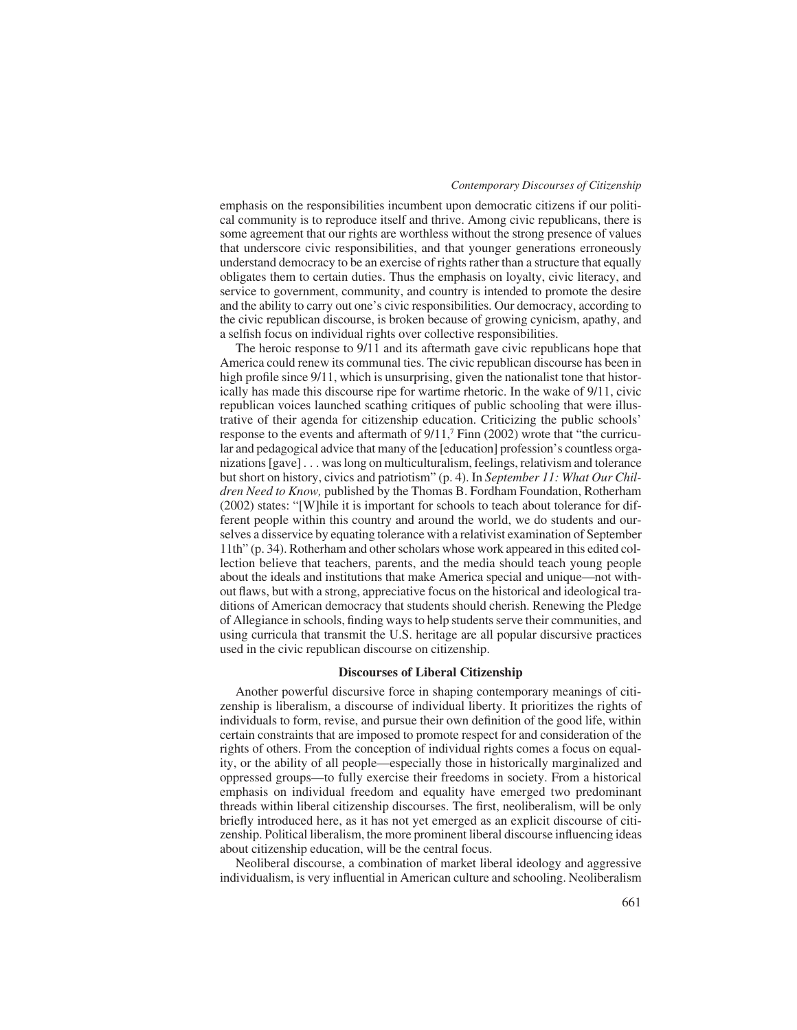emphasis on the responsibilities incumbent upon democratic citizens if our political community is to reproduce itself and thrive. Among civic republicans, there is some agreement that our rights are worthless without the strong presence of values that underscore civic responsibilities, and that younger generations erroneously understand democracy to be an exercise of rights rather than a structure that equally obligates them to certain duties. Thus the emphasis on loyalty, civic literacy, and service to government, community, and country is intended to promote the desire and the ability to carry out one's civic responsibilities. Our democracy, according to the civic republican discourse, is broken because of growing cynicism, apathy, and a selfish focus on individual rights over collective responsibilities.

The heroic response to 9/11 and its aftermath gave civic republicans hope that America could renew its communal ties. The civic republican discourse has been in high profile since 9/11, which is unsurprising, given the nationalist tone that historically has made this discourse ripe for wartime rhetoric. In the wake of 9/11, civic republican voices launched scathing critiques of public schooling that were illustrative of their agenda for citizenship education. Criticizing the public schools' response to the events and aftermath of 9/11, <sup>7</sup> Finn (2002) wrote that "the curricular and pedagogical advice that many of the [education] profession's countless organizations[gave] . . . waslong on multiculturalism, feelings, relativism and tolerance but short on history, civics and patriotism" (p. 4). In *September 11: What Our Children Need to Know,* published by the Thomas B. Fordham Foundation, Rotherham (2002) states: "[W]hile it is important for schools to teach about tolerance for different people within this country and around the world, we do students and ourselves a disservice by equating tolerance with a relativist examination of September 11th" (p. 34). Rotherham and otherscholars whose work appeared in this edited collection believe that teachers, parents, and the media should teach young people about the ideals and institutions that make America special and unique—not without flaws, but with a strong, appreciative focus on the historical and ideological traditions of American democracy that students should cherish. Renewing the Pledge of Allegiance in schools, finding waysto help studentsserve their communities, and using curricula that transmit the U.S. heritage are all popular discursive practices used in the civic republican discourse on citizenship.

### **Discourses of Liberal Citizenship**

Another powerful discursive force in shaping contemporary meanings of citizenship is liberalism, a discourse of individual liberty. It prioritizes the rights of individuals to form, revise, and pursue their own definition of the good life, within certain constraints that are imposed to promote respect for and consideration of the rights of others. From the conception of individual rights comes a focus on equality, or the ability of all people—especially those in historically marginalized and oppressed groups—to fully exercise their freedoms in society. From a historical emphasis on individual freedom and equality have emerged two predominant threads within liberal citizenship discourses. The first, neoliberalism, will be only briefly introduced here, as it has not yet emerged as an explicit discourse of citizenship. Political liberalism, the more prominent liberal discourse influencing ideas about citizenship education, will be the central focus.

Neoliberal discourse, a combination of market liberal ideology and aggressive individualism, is very influential in American culture and schooling. Neoliberalism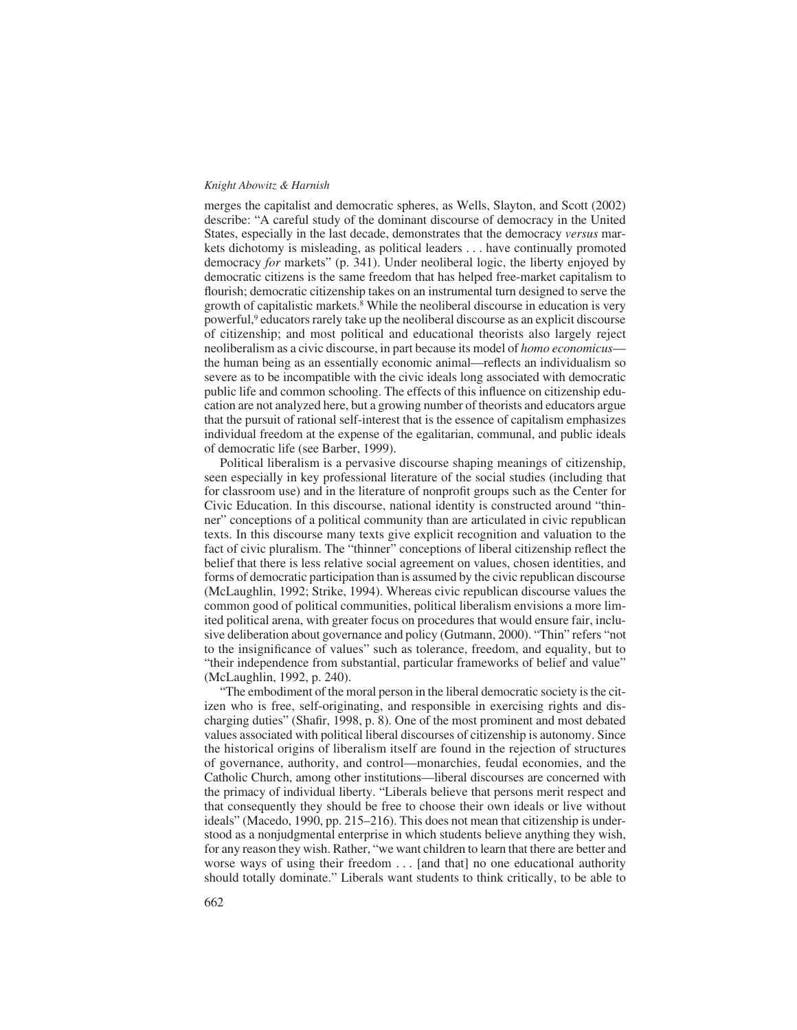merges the capitalist and democratic spheres, as Wells, Slayton, and Scott (2002) describe: "A careful study of the dominant discourse of democracy in the United States, especially in the last decade, demonstrates that the democracy *versus* markets dichotomy is misleading, as political leaders . . . have continually promoted democracy *for* markets" (p. 341). Under neoliberal logic, the liberty enjoyed by democratic citizens is the same freedom that has helped free-market capitalism to flourish; democratic citizenship takes on an instrumental turn designed to serve the growth of capitalistic markets. <sup>8</sup> While the neoliberal discourse in education is very powerful,<sup>9</sup> educators rarely take up the neoliberal discourse as an explicit discourse of citizenship; and most political and educational theorists also largely reject neoliberalism as a civic discourse, in part because its model of *homo economicus* the human being as an essentially economic animal—reflects an individualism so severe as to be incompatible with the civic ideals long associated with democratic public life and common schooling. The effects of this influence on citizenship education are not analyzed here, but a growing number of theorists and educators argue that the pursuit of rational self-interest that is the essence of capitalism emphasizes individual freedom at the expense of the egalitarian, communal, and public ideals of democratic life (see Barber, 1999).

Political liberalism is a pervasive discourse shaping meanings of citizenship, seen especially in key professional literature of the social studies (including that for classroom use) and in the literature of nonprofit groups such as the Center for Civic Education. In this discourse, national identity is constructed around "thinner" conceptions of a political community than are articulated in civic republican texts. In this discourse many texts give explicit recognition and valuation to the fact of civic pluralism. The "thinner" conceptions of liberal citizenship reflect the belief that there is less relative social agreement on values, chosen identities, and forms of democratic participation than is assumed by the civic republican discourse (McLaughlin, 1992; Strike, 1994). Whereas civic republican discourse values the common good of political communities, political liberalism envisions a more limited political arena, with greater focus on procedures that would ensure fair, inclusive deliberation about governance and policy (Gutmann, 2000). "Thin" refers "not to the insignificance of values" such as tolerance, freedom, and equality, but to "their independence from substantial, particular frameworks of belief and value" (McLaughlin, 1992, p. 240).

"The embodiment of the moral person in the liberal democratic society is the citizen who is free, self-originating, and responsible in exercising rights and discharging duties" (Shafir, 1998, p. 8). One of the most prominent and most debated values associated with political liberal discourses of citizenship is autonomy. Since the historical origins of liberalism itself are found in the rejection of structures of governance, authority, and control—monarchies, feudal economies, and the Catholic Church, among other institutions—liberal discourses are concerned with the primacy of individual liberty. "Liberals believe that persons merit respect and that consequently they should be free to choose their own ideals or live without ideals" (Macedo, 1990, pp. 215–216). This does not mean that citizenship is understood as a nonjudgmental enterprise in which students believe anything they wish, for any reason they wish. Rather, "we want children to learn that there are better and worse ways of using their freedom . . . [and that] no one educational authority should totally dominate." Liberals want students to think critically, to be able to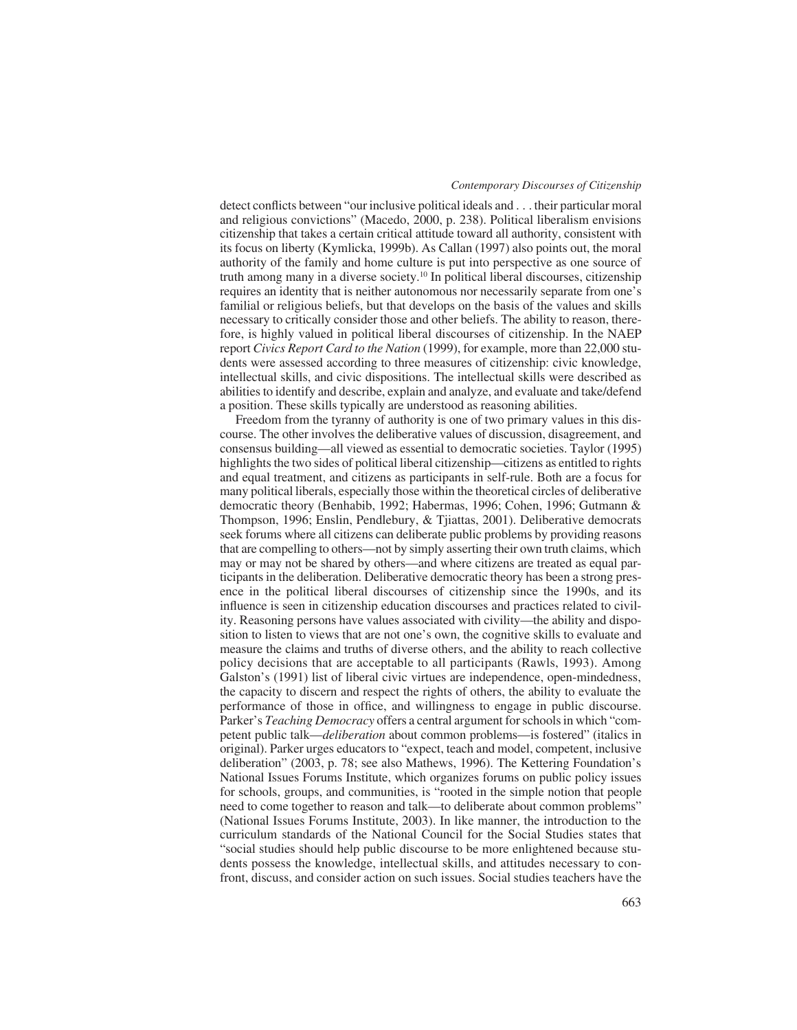detect conflicts between "our inclusive political ideals and . . . their particular moral and religious convictions" (Macedo, 2000, p. 238). Political liberalism envisions citizenship that takes a certain critical attitude toward all authority, consistent with its focus on liberty (Kymlicka, 1999b). As Callan (1997) also points out, the moral authority of the family and home culture is put into perspective as one source of truth among many in a diverse society. <sup>10</sup> In political liberal discourses, citizenship requires an identity that is neither autonomous nor necessarily separate from one's familial or religious beliefs, but that develops on the basis of the values and skills necessary to critically consider those and other beliefs. The ability to reason, therefore, is highly valued in political liberal discourses of citizenship. In the NAEP report *Civics Report Card to the Nation* (1999), for example, more than 22,000 students were assessed according to three measures of citizenship: civic knowledge, intellectual skills, and civic dispositions. The intellectual skills were described as abilitiesto identify and describe, explain and analyze, and evaluate and take/defend a position. These skills typically are understood as reasoning abilities.

Freedom from the tyranny of authority is one of two primary values in this discourse. The other involves the deliberative values of discussion, disagreement, and consensus building—all viewed as essential to democratic societies. Taylor (1995) highlights the two sides of political liberal citizenship—citizens as entitled to rights and equal treatment, and citizens as participants in self-rule. Both are a focus for many political liberals, especially those within the theoretical circles of deliberative democratic theory (Benhabib, 1992; Habermas, 1996; Cohen, 1996; Gutmann & Thompson, 1996; Enslin, Pendlebury, & Tjiattas, 2001). Deliberative democrats seek forums where all citizens can deliberate public problems by providing reasons that are compelling to others—not by simply asserting their own truth claims, which may or may not be shared by others—and where citizens are treated as equal participants in the deliberation. Deliberative democratic theory has been a strong presence in the political liberal discourses of citizenship since the 1990s, and its influence is seen in citizenship education discourses and practices related to civility. Reasoning persons have values associated with civility—the ability and disposition to listen to views that are not one's own, the cognitive skills to evaluate and measure the claims and truths of diverse others, and the ability to reach collective policy decisions that are acceptable to all participants (Rawls, 1993). Among Galston's (1991) list of liberal civic virtues are independence, open-mindedness, the capacity to discern and respect the rights of others, the ability to evaluate the performance of those in office, and willingness to engage in public discourse. Parker's *Teaching Democracy* offers a central argument forschoolsin which "competent public talk—*deliberation* about common problems—is fostered" (italics in original). Parker urges educators to "expect, teach and model, competent, inclusive deliberation" (2003, p. 78; see also Mathews, 1996). The Kettering Foundation's National Issues Forums Institute, which organizes forums on public policy issues for schools, groups, and communities, is "rooted in the simple notion that people need to come together to reason and talk—to deliberate about common problems" (National Issues Forums Institute, 2003). In like manner, the introduction to the curriculum standards of the National Council for the Social Studies states that "social studies should help public discourse to be more enlightened because students possess the knowledge, intellectual skills, and attitudes necessary to confront, discuss, and consider action on such issues. Social studies teachers have the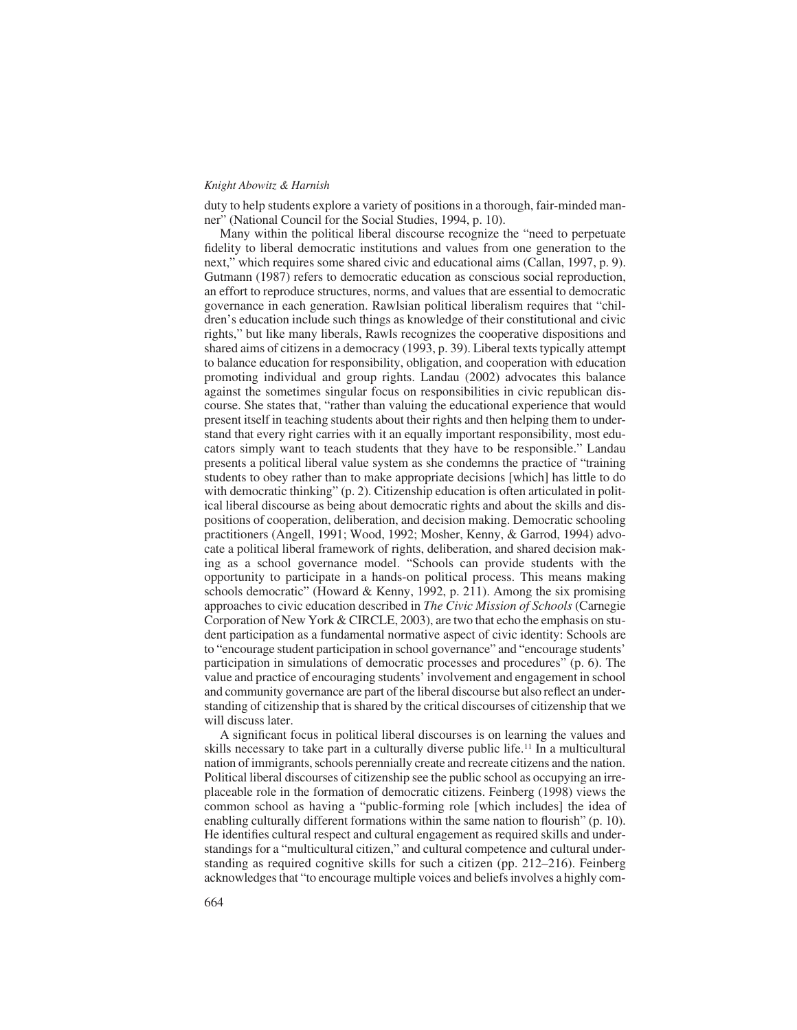duty to help students explore a variety of positions in a thorough, fair-minded manner" (National Council for the Social Studies, 1994, p. 10).

Many within the political liberal discourse recognize the "need to perpetuate fidelity to liberal democratic institutions and values from one generation to the next," which requires some shared civic and educational aims (Callan, 1997, p. 9). Gutmann (1987) refers to democratic education as conscious social reproduction, an effort to reproduce structures, norms, and values that are essential to democratic governance in each generation. Rawlsian political liberalism requires that "children's education include such things as knowledge of their constitutional and civic rights," but like many liberals, Rawls recognizes the cooperative dispositions and shared aims of citizens in a democracy (1993, p. 39). Liberal texts typically attempt to balance education for responsibility, obligation, and cooperation with education promoting individual and group rights. Landau (2002) advocates this balance against the sometimes singular focus on responsibilities in civic republican discourse. She states that, "rather than valuing the educational experience that would present itself in teaching students about their rights and then helping them to understand that every right carries with it an equally important responsibility, most educators simply want to teach students that they have to be responsible." Landau presents a political liberal value system as she condemns the practice of "training students to obey rather than to make appropriate decisions [which] has little to do with democratic thinking" (p. 2). Citizenship education is often articulated in political liberal discourse as being about democratic rights and about the skills and dispositions of cooperation, deliberation, and decision making. Democratic schooling practitioners (Angell, 1991; Wood, 1992; Mosher, Kenny, & Garrod, 1994) advocate a political liberal framework of rights, deliberation, and shared decision making as a school governance model. "Schools can provide students with the opportunity to participate in a hands-on political process. This means making schools democratic" (Howard & Kenny, 1992, p. 211). Among the six promising approaches to civic education described in *The Civic Mission of Schools* (Carnegie Corporation of New York & CIRCLE, 2003), are two that echo the emphasis on student participation as a fundamental normative aspect of civic identity: Schools are to "encourage student participation in school governance" and "encourage students' participation in simulations of democratic processes and procedures" (p. 6). The value and practice of encouraging students' involvement and engagement in school and community governance are part of the liberal discourse but also reflect an understanding of citizenship that is shared by the critical discourses of citizenship that we will discuss later.

A significant focus in political liberal discourses is on learning the values and skills necessary to take part in a culturally diverse public life. <sup>11</sup> In a multicultural nation of immigrants, schools perennially create and recreate citizens and the nation. Political liberal discourses of citizenship see the public school as occupying an irreplaceable role in the formation of democratic citizens. Feinberg (1998) views the common school as having a "public-forming role [which includes] the idea of enabling culturally different formations within the same nation to flourish" (p. 10). He identifies cultural respect and cultural engagement as required skills and understandings for a "multicultural citizen," and cultural competence and cultural understanding as required cognitive skills for such a citizen (pp. 212–216). Feinberg acknowledgesthat "to encourage multiple voices and beliefsinvolves a highly com-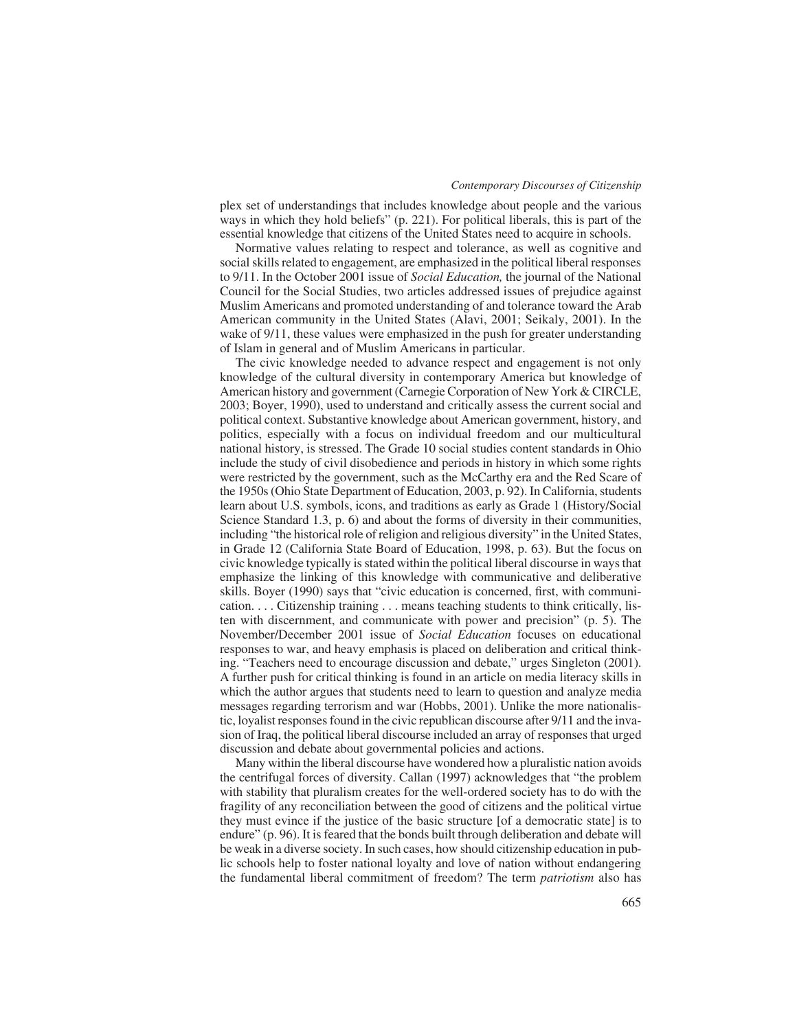plex set of understandings that includes knowledge about people and the various ways in which they hold beliefs" (p. 221). For political liberals, this is part of the essential knowledge that citizens of the United States need to acquire in schools.

Normative values relating to respect and tolerance, as well as cognitive and social skills related to engagement, are emphasized in the political liberal responses to 9/11. In the October 2001 issue of *Social Education,* the journal of the National Council for the Social Studies, two articles addressed issues of prejudice against Muslim Americans and promoted understanding of and tolerance toward the Arab American community in the United States (Alavi, 2001; Seikaly, 2001). In the wake of 9/11, these values were emphasized in the push for greater understanding of Islam in general and of Muslim Americans in particular.

The civic knowledge needed to advance respect and engagement is not only knowledge of the cultural diversity in contemporary America but knowledge of American history and government (Carnegie Corporation of New York & CIRCLE, 2003; Boyer, 1990), used to understand and critically assess the current social and political context. Substantive knowledge about American government, history, and politics, especially with a focus on individual freedom and our multicultural national history, is stressed. The Grade 10 social studies content standards in Ohio include the study of civil disobedience and periods in history in which some rights were restricted by the government, such as the McCarthy era and the Red Scare of the 1950s (Ohio State Department of Education, 2003, p. 92). In California, students learn about U.S. symbols, icons, and traditions as early as Grade 1 (History/Social Science Standard 1.3, p. 6) and about the forms of diversity in their communities, including "the historical role of religion and religious diversity" in the United States, in Grade 12 (California State Board of Education, 1998, p. 63). But the focus on civic knowledge typically isstated within the political liberal discourse in waysthat emphasize the linking of this knowledge with communicative and deliberative skills. Boyer (1990) says that "civic education is concerned, first, with communication. . . . Citizenship training . . . means teaching students to think critically, listen with discernment, and communicate with power and precision" (p. 5). The November/December 2001 issue of *Social Education* focuses on educational responses to war, and heavy emphasis is placed on deliberation and critical thinking. "Teachers need to encourage discussion and debate," urges Singleton (2001). A further push for critical thinking is found in an article on media literacy skills in which the author argues that students need to learn to question and analyze media messages regarding terrorism and war (Hobbs, 2001). Unlike the more nationalistic, loyalist responsesfound in the civic republican discourse after 9/11 and the invasion of Iraq, the political liberal discourse included an array of responses that urged discussion and debate about governmental policies and actions.

Many within the liberal discourse have wondered how a pluralistic nation avoids the centrifugal forces of diversity. Callan (1997) acknowledges that "the problem with stability that pluralism creates for the well-ordered society has to do with the fragility of any reconciliation between the good of citizens and the political virtue they must evince if the justice of the basic structure [of a democratic state] is to endure" (p. 96). It is feared that the bonds built through deliberation and debate will be weak in a diverse society. In such cases, how should citizenship education in public schools help to foster national loyalty and love of nation without endangering the fundamental liberal commitment of freedom? The term *patriotism* also has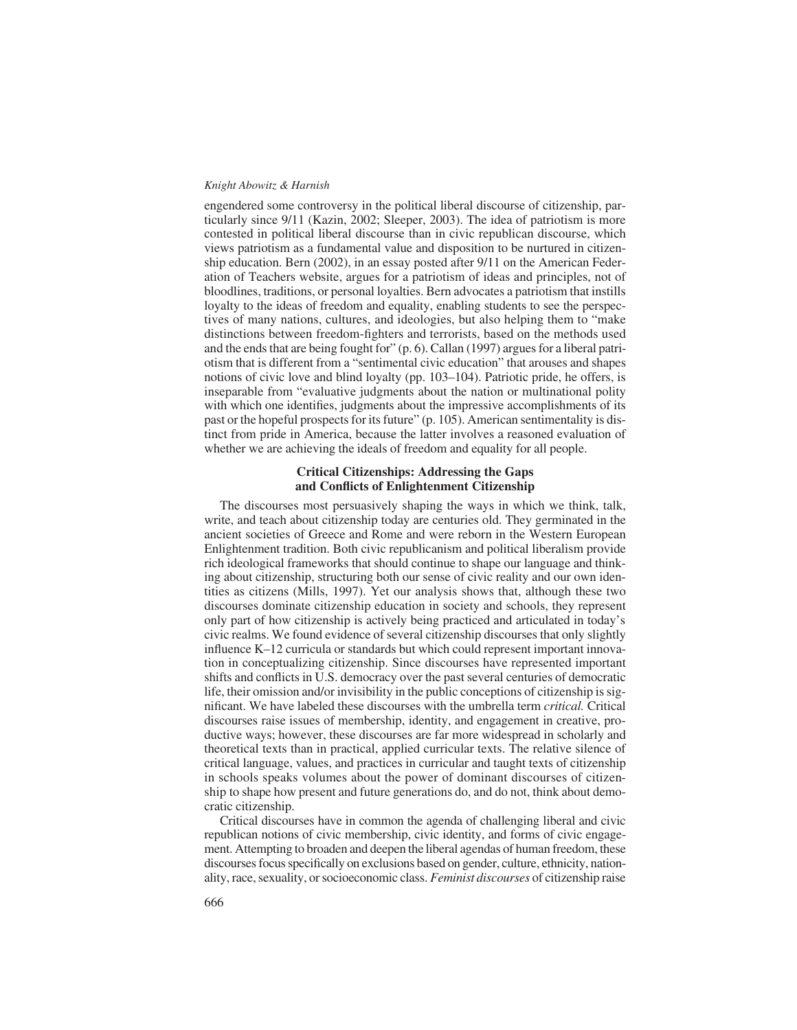engendered some controversy in the political liberal discourse of citizenship, particularly since 9/11 (Kazin, 2002; Sleeper, 2003). The idea of patriotism is more contested in political liberal discourse than in civic republican discourse, which views patriotism as a fundamental value and disposition to be nurtured in citizenship education. Bern (2002), in an essay posted after 9/11 on the American Federation of Teachers website, argues for a patriotism of ideas and principles, not of bloodlines, traditions, or personal loyalties. Bern advocates a patriotism that instills loyalty to the ideas of freedom and equality, enabling students to see the perspectives of many nations, cultures, and ideologies, but also helping them to "make distinctions between freedom-fighters and terrorists, based on the methods used and the ends that are being fought for"  $(p. 6)$ . Callan  $(1997)$  argues for a liberal patriotism that is different from a "sentimental civic education" that arouses and shapes notions of civic love and blind loyalty (pp. 103–104). Patriotic pride, he offers, is inseparable from "evaluative judgments about the nation or multinational polity with which one identifies, judgments about the impressive accomplishments of its past or the hopeful prospects for its future" (p. 105). American sentimentality is distinct from pride in America, because the latter involves a reasoned evaluation of whether we are achieving the ideals of freedom and equality for all people.

# **Critical Citizenships: Addressing the Gaps and Conflicts of Enlightenment Citizenship**

The discourses most persuasively shaping the ways in which we think, talk, write, and teach about citizenship today are centuries old. They germinated in the ancient societies of Greece and Rome and were reborn in the Western European Enlightenment tradition. Both civic republicanism and political liberalism provide rich ideological frameworks that should continue to shape our language and thinking about citizenship, structuring both our sense of civic reality and our own identities as citizens (Mills, 1997). Yet our analysis shows that, although these two discourses dominate citizenship education in society and schools, they represent only part of how citizenship is actively being practiced and articulated in today's civic realms. We found evidence of several citizenship discourses that only slightly influence K–12 curricula or standards but which could represent important innovation in conceptualizing citizenship. Since discourses have represented important shifts and conflicts in U.S. democracy over the past several centuries of democratic life, their omission and/or invisibility in the public conceptions of citizenship is significant. We have labeled these discourses with the umbrella term *critical.* Critical discourses raise issues of membership, identity, and engagement in creative, productive ways; however, these discourses are far more widespread in scholarly and theoretical texts than in practical, applied curricular texts. The relative silence of critical language, values, and practices in curricular and taught texts of citizenship in schools speaks volumes about the power of dominant discourses of citizenship to shape how present and future generations do, and do not, think about democratic citizenship.

Critical discourses have in common the agenda of challenging liberal and civic republican notions of civic membership, civic identity, and forms of civic engagement. Attempting to broaden and deepen the liberal agendas of human freedom, these discourses focus specifically on exclusions based on gender, culture, ethnicity, nationality,race,sexuality, orsocioeconomic class. *Feminist discourses* of citizenship raise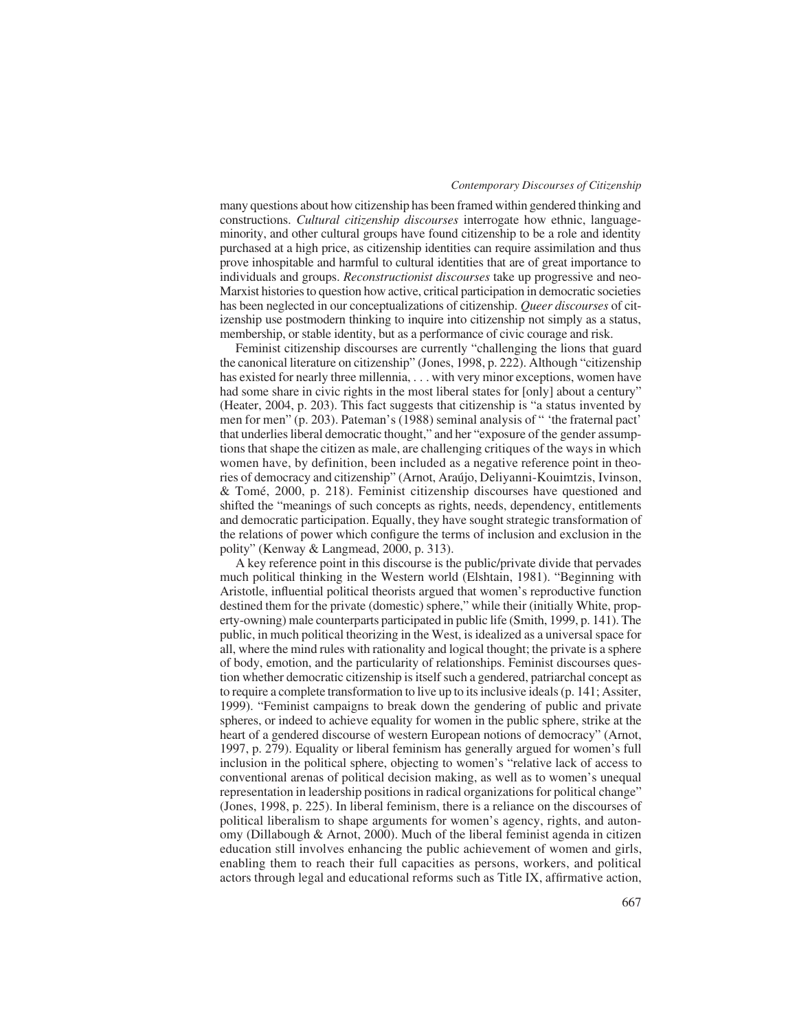many questions about how citizenship has been framed within gendered thinking and constructions. *Cultural citizenship discourses* interrogate how ethnic, languageminority, and other cultural groups have found citizenship to be a role and identity purchased at a high price, as citizenship identities can require assimilation and thus prove inhospitable and harmful to cultural identities that are of great importance to individuals and groups. *Reconstructionist discourses* take up progressive and neo-Marxist histories to question how active, critical participation in democratic societies has been neglected in our conceptualizations of citizenship. *Queer discourses* of citizenship use postmodern thinking to inquire into citizenship not simply as a status, membership, or stable identity, but as a performance of civic courage and risk.

Feminist citizenship discourses are currently "challenging the lions that guard the canonical literature on citizenship" (Jones, 1998, p. 222). Although "citizenship has existed for nearly three millennia, . . . with very minor exceptions, women have had some share in civic rights in the most liberal states for [only] about a century" (Heater, 2004, p. 203). This fact suggests that citizenship is "a status invented by men for men" (p. 203). Pateman's (1988) seminal analysis of " 'the fraternal pact' that underliesliberal democratic thought," and her "exposure of the gender assumptions that shape the citizen as male, are challenging critiques of the ways in which women have, by definition, been included as a negative reference point in theories of democracy and citizenship" (Arnot, Araújo, Deliyanni-Kouimtzis, Ivinson, & Tomé, 2000, p. 218). Feminist citizenship discourses have questioned and shifted the "meanings of such concepts as rights, needs, dependency, entitlements and democratic participation. Equally, they have sought strategic transformation of the relations of power which configure the terms of inclusion and exclusion in the polity" (Kenway & Langmead, 2000, p. 313).

A key reference point in this discourse is the public/private divide that pervades much political thinking in the Western world (Elshtain, 1981). "Beginning with Aristotle, influential political theorists argued that women's reproductive function destined them for the private (domestic) sphere," while their (initially White, property-owning) male counterparts participated in public life (Smith, 1999, p. 141). The public, in much political theorizing in the West, isidealized as a universalspace for all, where the mind rules with rationality and logical thought; the private is a sphere of body, emotion, and the particularity of relationships. Feminist discourses question whether democratic citizenship is itself such a gendered, patriarchal concept as to require a complete transformation to live up to itsinclusive ideals(p. 141; Assiter, 1999). "Feminist campaigns to break down the gendering of public and private spheres, or indeed to achieve equality for women in the public sphere, strike at the heart of a gendered discourse of western European notions of democracy" (Arnot, 1997, p. 279). Equality or liberal feminism has generally argued for women's full inclusion in the political sphere, objecting to women's "relative lack of access to conventional arenas of political decision making, as well as to women's unequal representation in leadership positions in radical organizations for political change" (Jones, 1998, p. 225). In liberal feminism, there is a reliance on the discourses of political liberalism to shape arguments for women's agency, rights, and autonomy (Dillabough & Arnot, 2000). Much of the liberal feminist agenda in citizen education still involves enhancing the public achievement of women and girls, enabling them to reach their full capacities as persons, workers, and political actors through legal and educational reforms such as Title IX, affirmative action,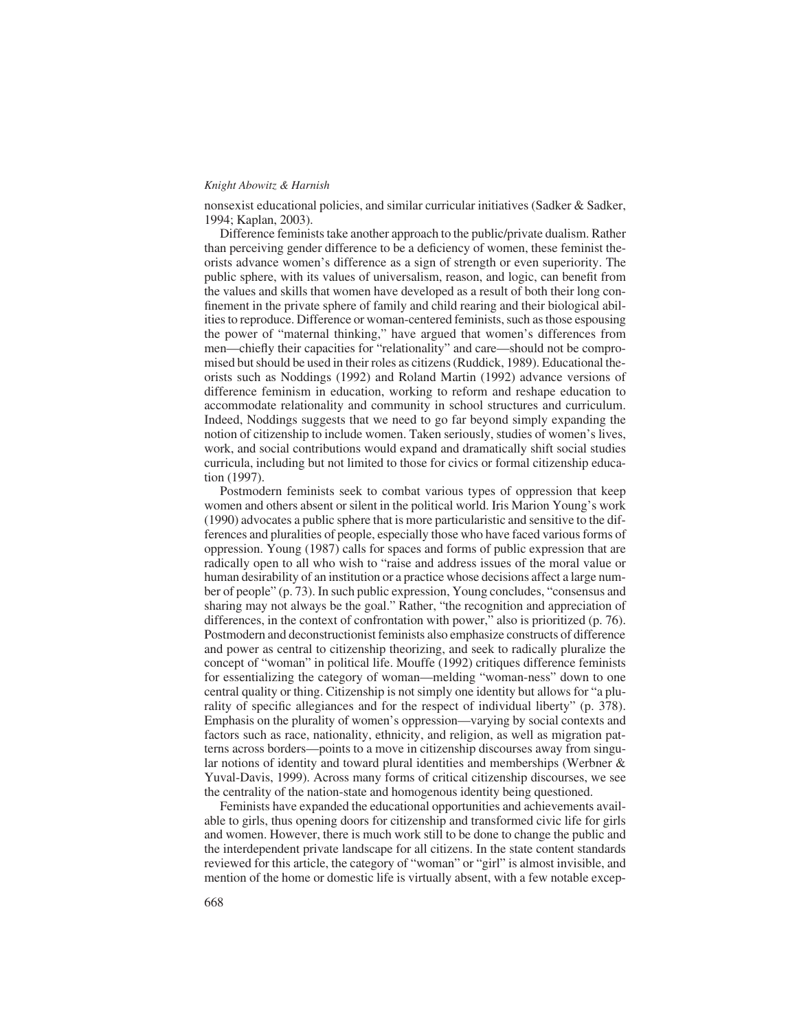nonsexist educational policies, and similar curricular initiatives (Sadker & Sadker, 1994; Kaplan, 2003).

Difference feminists take another approach to the public/private dualism. Rather than perceiving gender difference to be a deficiency of women, these feminist theorists advance women's difference as a sign of strength or even superiority. The public sphere, with its values of universalism, reason, and logic, can benefit from the values and skills that women have developed as a result of both their long confinement in the private sphere of family and child rearing and their biological abilities to reproduce. Difference or woman-centered feminists, such as those espousing the power of "maternal thinking," have argued that women's differences from men—chiefly their capacities for "relationality" and care—should not be compromised but should be used in their roles as citizens (Ruddick, 1989). Educational theorists such as Noddings (1992) and Roland Martin (1992) advance versions of difference feminism in education, working to reform and reshape education to accommodate relationality and community in school structures and curriculum. Indeed, Noddings suggests that we need to go far beyond simply expanding the notion of citizenship to include women. Taken seriously, studies of women's lives, work, and social contributions would expand and dramatically shift social studies curricula, including but not limited to those for civics or formal citizenship education (1997).

Postmodern feminists seek to combat various types of oppression that keep women and others absent or silent in the political world. Iris Marion Young's work (1990) advocates a public sphere that is more particularistic and sensitive to the differences and pluralities of people, especially those who have faced variousforms of oppression. Young (1987) calls for spaces and forms of public expression that are radically open to all who wish to "raise and address issues of the moral value or human desirability of an institution or a practice whose decisions affect a large number of people" (p. 73). In such public expression, Young concludes, "consensus and sharing may not always be the goal." Rather, "the recognition and appreciation of differences, in the context of confrontation with power," also is prioritized (p. 76). Postmodern and deconstructionist feminists also emphasize constructs of difference and power as central to citizenship theorizing, and seek to radically pluralize the concept of "woman" in political life. Mouffe (1992) critiques difference feminists for essentializing the category of woman—melding "woman-ness" down to one central quality or thing. Citizenship is not simply one identity but allows for "a plurality of specific allegiances and for the respect of individual liberty" (p. 378). Emphasis on the plurality of women's oppression—varying by social contexts and factors such as race, nationality, ethnicity, and religion, as well as migration patterns across borders—points to a move in citizenship discourses away from singular notions of identity and toward plural identities and memberships (Werbner & Yuval-Davis, 1999). Across many forms of critical citizenship discourses, we see the centrality of the nation-state and homogenous identity being questioned.

Feminists have expanded the educational opportunities and achievements available to girls, thus opening doors for citizenship and transformed civic life for girls and women. However, there is much work still to be done to change the public and the interdependent private landscape for all citizens. In the state content standards reviewed for this article, the category of "woman" or "girl" is almost invisible, and mention of the home or domestic life is virtually absent, with a few notable excep-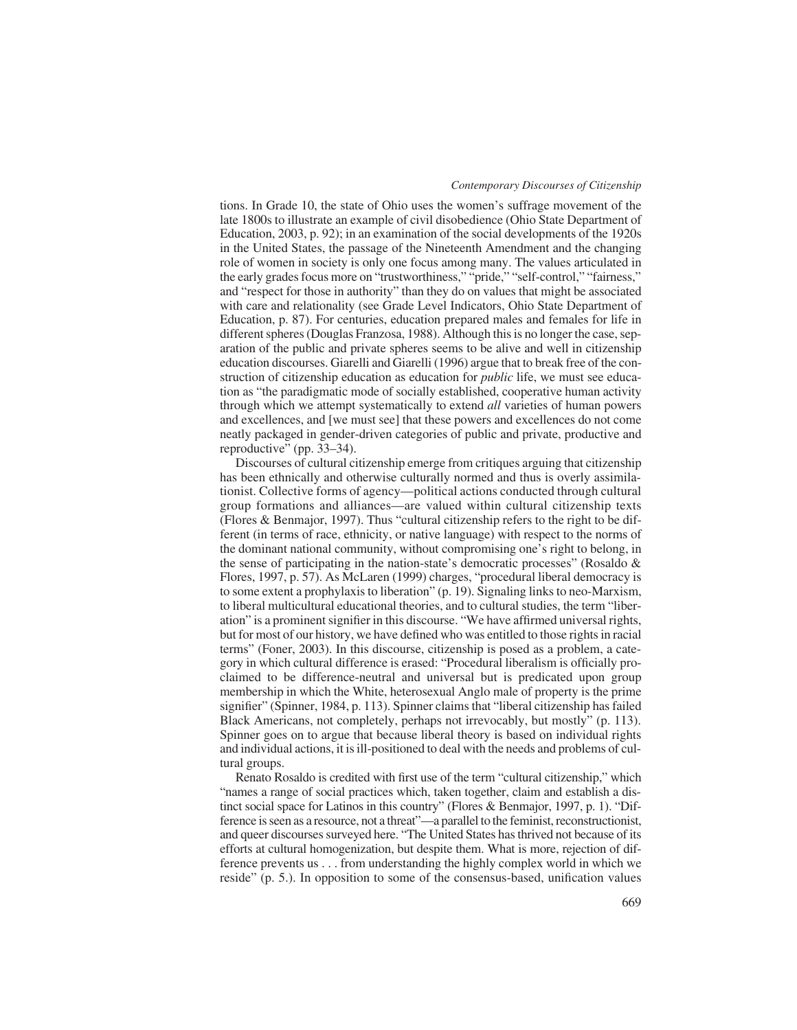tions. In Grade 10, the state of Ohio uses the women's suffrage movement of the late 1800s to illustrate an example of civil disobedience (Ohio State Department of Education, 2003, p. 92); in an examination of the social developments of the 1920s in the United States, the passage of the Nineteenth Amendment and the changing role of women in society is only one focus among many. The values articulated in the early grades focus more on "trustworthiness," "pride," "self-control," "fairness," and "respect for those in authority" than they do on values that might be associated with care and relationality (see Grade Level Indicators, Ohio State Department of Education, p. 87). For centuries, education prepared males and females for life in different spheres (Douglas Franzosa, 1988). Although this is no longer the case, separation of the public and private spheres seems to be alive and well in citizenship education discourses. Giarelli and Giarelli (1996) argue that to break free of the construction of citizenship education as education for *public* life, we must see education as "the paradigmatic mode of socially established, cooperative human activity through which we attempt systematically to extend *all* varieties of human powers and excellences, and [we must see] that these powers and excellences do not come neatly packaged in gender-driven categories of public and private, productive and reproductive" (pp. 33–34).

Discourses of cultural citizenship emerge from critiques arguing that citizenship has been ethnically and otherwise culturally normed and thus is overly assimilationist. Collective forms of agency—political actions conducted through cultural group formations and alliances—are valued within cultural citizenship texts (Flores & Benmajor, 1997). Thus "cultural citizenship refers to the right to be different (in terms of race, ethnicity, or native language) with respect to the norms of the dominant national community, without compromising one's right to belong, in the sense of participating in the nation-state's democratic processes" (Rosaldo  $\&$ Flores, 1997, p. 57). As McLaren (1999) charges, "procedural liberal democracy is to some extent a prophylaxisto liberation" (p. 19). Signaling linksto neo-Marxism, to liberal multicultural educational theories, and to cultural studies, the term "liberation" is a prominent signifier in this discourse. "We have affirmed universal rights, but for most of our history, we have defined who was entitled to those rights in racial terms" (Foner, 2003). In this discourse, citizenship is posed as a problem, a category in which cultural difference is erased: "Procedural liberalism is officially proclaimed to be difference-neutral and universal but is predicated upon group membership in which the White, heterosexual Anglo male of property is the prime signifier" (Spinner, 1984, p. 113). Spinner claims that "liberal citizenship has failed Black Americans, not completely, perhaps not irrevocably, but mostly" (p. 113). Spinner goes on to argue that because liberal theory is based on individual rights and individual actions, it isill-positioned to deal with the needs and problems of cultural groups.

Renato Rosaldo is credited with first use of the term "cultural citizenship," which "names a range of social practices which, taken together, claim and establish a distinct social space for Latinos in this country" (Flores & Benmajor, 1997, p. 1). "Difference is seen as a resource, not a threat"—a parallel to the feminist, reconstructionist, and queer discourses surveyed here. "The United States has thrived not because of its efforts at cultural homogenization, but despite them. What is more, rejection of difference prevents us . . . from understanding the highly complex world in which we reside" (p. 5.). In opposition to some of the consensus-based, unification values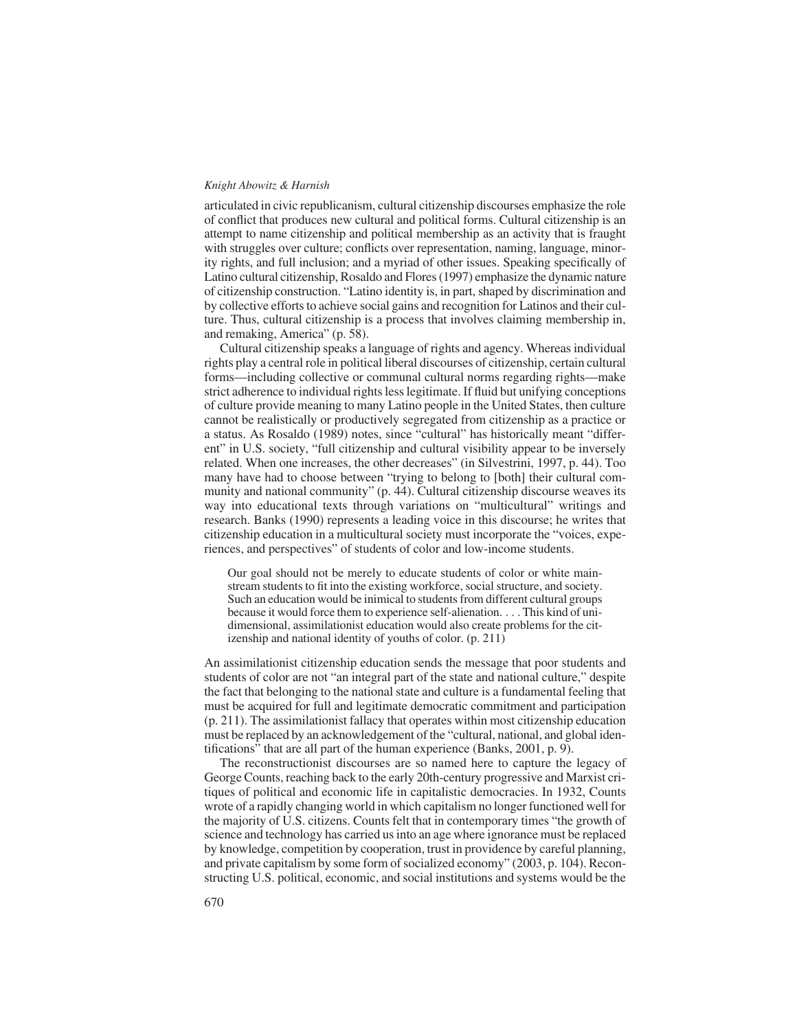articulated in civic republicanism, cultural citizenship discourses emphasize the role of conflict that produces new cultural and political forms. Cultural citizenship is an attempt to name citizenship and political membership as an activity that is fraught with struggles over culture; conflicts over representation, naming, language, minority rights, and full inclusion; and a myriad of other issues. Speaking specifically of Latino cultural citizenship, Rosaldo and Flores (1997) emphasize the dynamic nature of citizenship construction. "Latino identity is, in part, shaped by discrimination and by collective efforts to achieve social gains and recognition for Latinos and their culture. Thus, cultural citizenship is a process that involves claiming membership in, and remaking, America" (p. 58).

Cultural citizenship speaks a language of rights and agency. Whereas individual rights play a central role in political liberal discourses of citizenship, certain cultural forms—including collective or communal cultural norms regarding rights—make strict adherence to individual rights less legitimate. If fluid but unifying conceptions of culture provide meaning to many Latino people in the United States, then culture cannot be realistically or productively segregated from citizenship as a practice or a status. As Rosaldo (1989) notes, since "cultural" has historically meant "different" in U.S. society, "full citizenship and cultural visibility appear to be inversely related. When one increases, the other decreases" (in Silvestrini, 1997, p. 44). Too many have had to choose between "trying to belong to [both] their cultural community and national community" (p. 44). Cultural citizenship discourse weaves its way into educational texts through variations on "multicultural" writings and research. Banks (1990) represents a leading voice in this discourse; he writes that citizenship education in a multicultural society must incorporate the "voices, experiences, and perspectives" of students of color and low-income students.

Our goal should not be merely to educate students of color or white mainstream students to fit into the existing workforce, social structure, and society. Such an education would be inimical to students from different cultural groups because it would force them to experience self-alienation. . . . This kind of unidimensional, assimilationist education would also create problems for the citizenship and national identity of youths of color. (p. 211)

An assimilationist citizenship education sends the message that poor students and students of color are not "an integral part of the state and national culture," despite the fact that belonging to the national state and culture is a fundamental feeling that must be acquired for full and legitimate democratic commitment and participation (p. 211). The assimilationist fallacy that operates within most citizenship education must be replaced by an acknowledgement of the "cultural, national, and global identifications" that are all part of the human experience (Banks, 2001, p. 9).

The reconstructionist discourses are so named here to capture the legacy of George Counts, reaching back to the early 20th-century progressive and Marxist critiques of political and economic life in capitalistic democracies. In 1932, Counts wrote of a rapidly changing world in which capitalism no longer functioned well for the majority of U.S. citizens. Counts felt that in contemporary times "the growth of science and technology has carried usinto an age where ignorance must be replaced by knowledge, competition by cooperation, trust in providence by careful planning, and private capitalism by some form of socialized economy" (2003, p. 104). Reconstructing U.S. political, economic, and social institutions and systems would be the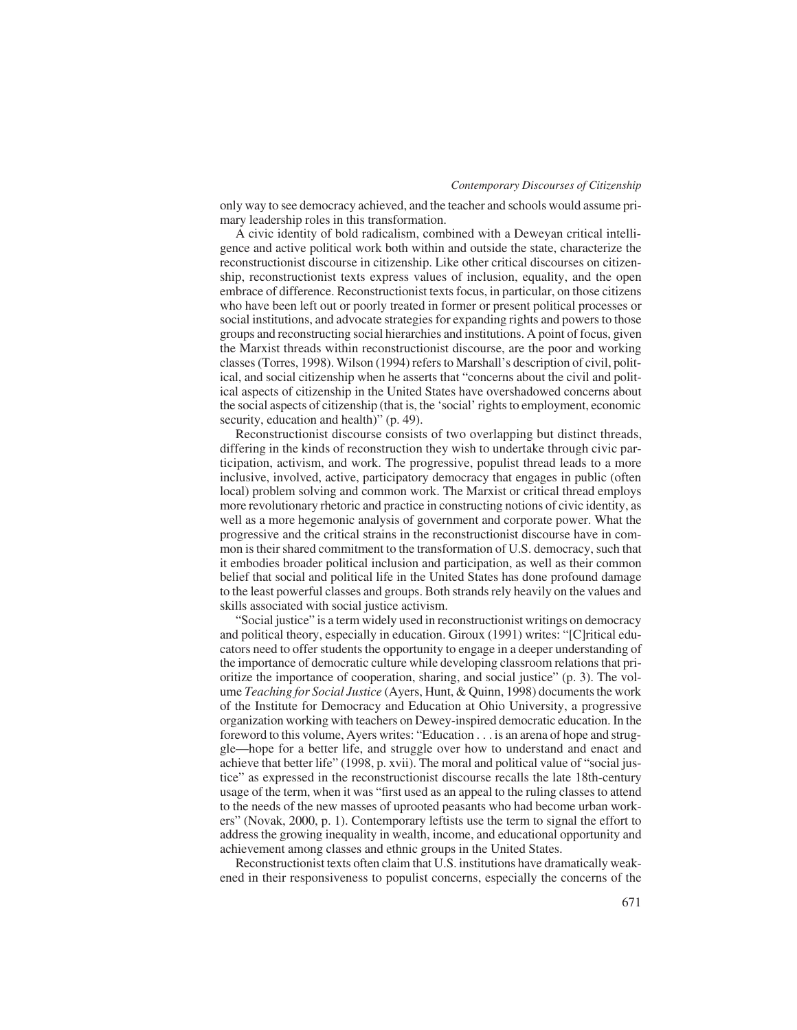only way to see democracy achieved, and the teacher and schools would assume primary leadership roles in this transformation.

A civic identity of bold radicalism, combined with a Deweyan critical intelligence and active political work both within and outside the state, characterize the reconstructionist discourse in citizenship. Like other critical discourses on citizenship, reconstructionist texts express values of inclusion, equality, and the open embrace of difference. Reconstructionist texts focus, in particular, on those citizens who have been left out or poorly treated in former or present political processes or social institutions, and advocate strategies for expanding rights and powers to those groups and reconstructing social hierarchies and institutions. A point of focus, given the Marxist threads within reconstructionist discourse, are the poor and working classes(Torres, 1998). Wilson (1994) refersto Marshall's description of civil, political, and social citizenship when he asserts that "concerns about the civil and political aspects of citizenship in the United States have overshadowed concerns about the social aspects of citizenship (that is, the 'social' rights to employment, economic security, education and health)" (p. 49).

Reconstructionist discourse consists of two overlapping but distinct threads, differing in the kinds of reconstruction they wish to undertake through civic participation, activism, and work. The progressive, populist thread leads to a more inclusive, involved, active, participatory democracy that engages in public (often local) problem solving and common work. The Marxist or critical thread employs more revolutionary rhetoric and practice in constructing notions of civic identity, as well as a more hegemonic analysis of government and corporate power. What the progressive and the critical strains in the reconstructionist discourse have in common is their shared commitment to the transformation of U.S. democracy, such that it embodies broader political inclusion and participation, as well as their common belief that social and political life in the United States has done profound damage to the least powerful classes and groups. Both strandsrely heavily on the values and skills associated with social justice activism.

"Social justice" is a term widely used in reconstructionist writings on democracy and political theory, especially in education. Giroux (1991) writes: "[C]ritical educators need to offer students the opportunity to engage in a deeper understanding of the importance of democratic culture while developing classroom relations that prioritize the importance of cooperation, sharing, and social justice" (p. 3). The volume *Teaching for Social Justice* (Ayers, Hunt, & Quinn, 1998) documentsthe work of the Institute for Democracy and Education at Ohio University, a progressive organization working with teachers on Dewey-inspired democratic education. In the foreword to this volume, Ayers writes: "Education . . . is an arena of hope and struggle—hope for a better life, and struggle over how to understand and enact and achieve that better life" (1998, p. xvii). The moral and political value of "social justice" as expressed in the reconstructionist discourse recalls the late 18th-century usage of the term, when it was "first used as an appeal to the ruling classes to attend to the needs of the new masses of uprooted peasants who had become urban workers" (Novak, 2000, p. 1). Contemporary leftists use the term to signal the effort to address the growing inequality in wealth, income, and educational opportunity and achievement among classes and ethnic groups in the United States.

Reconstructionist texts often claim that U.S. institutions have dramatically weakened in their responsiveness to populist concerns, especially the concerns of the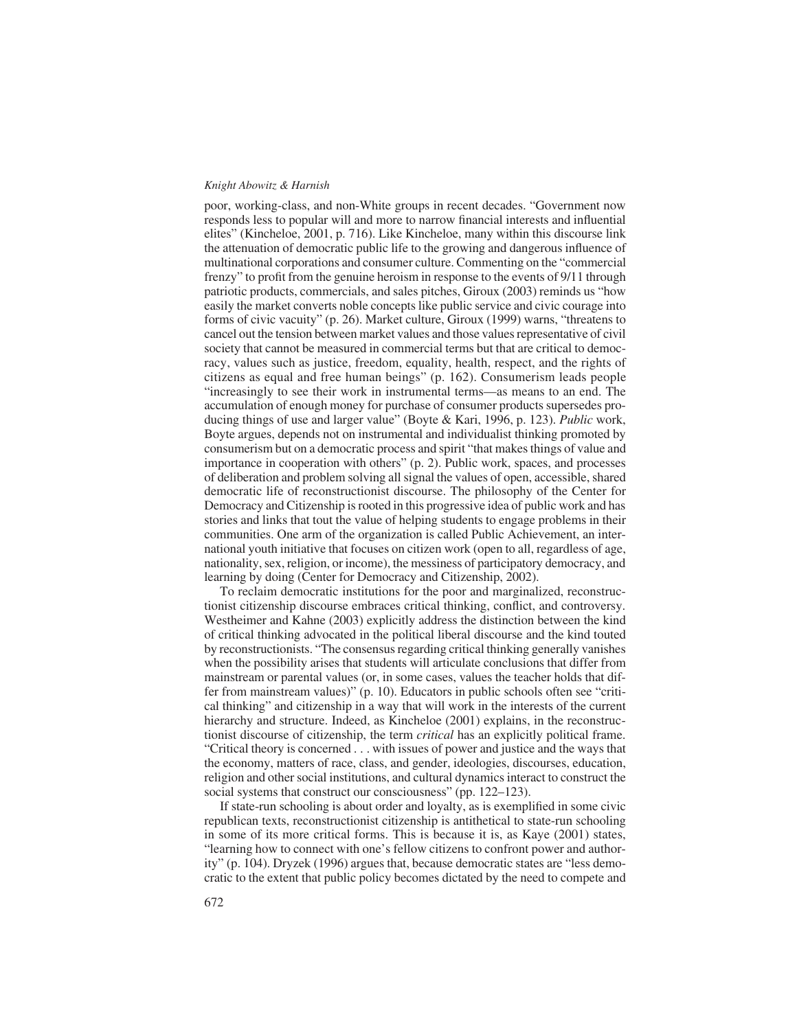poor, working-class, and non-White groups in recent decades. "Government now responds less to popular will and more to narrow financial interests and influential elites" (Kincheloe, 2001, p. 716). Like Kincheloe, many within this discourse link the attenuation of democratic public life to the growing and dangerous influence of multinational corporations and consumer culture. Commenting on the "commercial frenzy" to profit from the genuine heroism in response to the events of 9/11 through patriotic products, commercials, and sales pitches, Giroux (2003) reminds us "how easily the market converts noble conceptslike public service and civic courage into forms of civic vacuity" (p. 26). Market culture, Giroux (1999) warns, "threatens to cancel out the tension between market values and those values representative of civil society that cannot be measured in commercial terms but that are critical to democracy, values such as justice, freedom, equality, health, respect, and the rights of citizens as equal and free human beings" (p. 162). Consumerism leads people "increasingly to see their work in instrumental terms—as means to an end. The accumulation of enough money for purchase of consumer products supersedes producing things of use and larger value" (Boyte & Kari, 1996, p. 123). *Public* work, Boyte argues, depends not on instrumental and individualist thinking promoted by consumerism but on a democratic process and spirit "that makesthings of value and importance in cooperation with others" (p. 2). Public work, spaces, and processes of deliberation and problem solving all signal the values of open, accessible, shared democratic life of reconstructionist discourse. The philosophy of the Center for Democracy and Citizenship is rooted in this progressive idea of public work and has stories and links that tout the value of helping students to engage problems in their communities. One arm of the organization is called Public Achievement, an international youth initiative that focuses on citizen work (open to all, regardless of age, nationality, sex, religion, or income), the messiness of participatory democracy, and learning by doing (Center for Democracy and Citizenship, 2002).

To reclaim democratic institutions for the poor and marginalized, reconstructionist citizenship discourse embraces critical thinking, conflict, and controversy. Westheimer and Kahne (2003) explicitly address the distinction between the kind of critical thinking advocated in the political liberal discourse and the kind touted by reconstructionists. "The consensusregarding critical thinking generally vanishes when the possibility arises that students will articulate conclusions that differ from mainstream or parental values (or, in some cases, values the teacher holds that differ from mainstream values)" (p. 10). Educators in public schools often see "critical thinking" and citizenship in a way that will work in the interests of the current hierarchy and structure. Indeed, as Kincheloe (2001) explains, in the reconstructionist discourse of citizenship, the term *critical* has an explicitly political frame. "Critical theory is concerned . . . with issues of power and justice and the ways that the economy, matters of race, class, and gender, ideologies, discourses, education, religion and other social institutions, and cultural dynamics interact to construct the social systems that construct our consciousness" (pp. 122–123).

If state-run schooling is about order and loyalty, as is exemplified in some civic republican texts, reconstructionist citizenship is antithetical to state-run schooling in some of its more critical forms. This is because it is, as Kaye (2001) states, "learning how to connect with one's fellow citizens to confront power and authority" (p. 104). Dryzek (1996) argues that, because democratic states are "less democratic to the extent that public policy becomes dictated by the need to compete and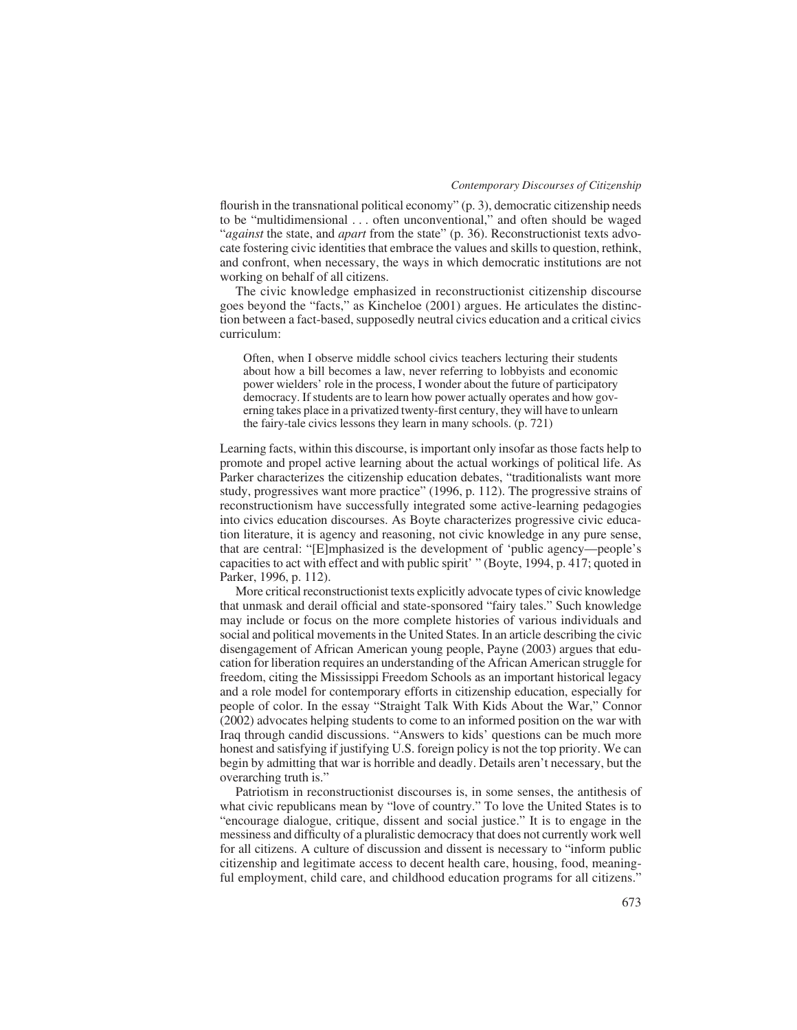flourish in the transnational political economy" (p. 3), democratic citizenship needs to be "multidimensional . . . often unconventional," and often should be waged "*against* the state, and *apart* from the state" (p. 36). Reconstructionist texts advocate fostering civic identities that embrace the values and skills to question, rethink, and confront, when necessary, the ways in which democratic institutions are not working on behalf of all citizens.

The civic knowledge emphasized in reconstructionist citizenship discourse goes beyond the "facts," as Kincheloe (2001) argues. He articulates the distinction between a fact-based, supposedly neutral civics education and a critical civics curriculum:

Often, when I observe middle school civics teachers lecturing their students about how a bill becomes a law, never referring to lobbyists and economic power wielders' role in the process, I wonder about the future of participatory democracy. If students are to learn how power actually operates and how governing takes place in a privatized twenty-first century, they will have to unlearn the fairy-tale civics lessons they learn in many schools. (p. 721)

Learning facts, within this discourse, isimportant only insofar asthose facts help to promote and propel active learning about the actual workings of political life. As Parker characterizes the citizenship education debates, "traditionalists want more study, progressives want more practice" (1996, p. 112). The progressive strains of reconstructionism have successfully integrated some active-learning pedagogies into civics education discourses. As Boyte characterizes progressive civic education literature, it is agency and reasoning, not civic knowledge in any pure sense, that are central: "[E]mphasized is the development of 'public agency—people's capacities to act with effect and with public spirit' " (Boyte, 1994, p. 417; quoted in Parker, 1996, p. 112).

More critical reconstructionist texts explicitly advocate types of civic knowledge that unmask and derail official and state-sponsored "fairy tales." Such knowledge may include or focus on the more complete histories of various individuals and social and political movements in the United States. In an article describing the civic disengagement of African American young people, Payne (2003) argues that education for liberation requires an understanding of the African American struggle for freedom, citing the Mississippi Freedom Schools as an important historical legacy and a role model for contemporary efforts in citizenship education, especially for people of color. In the essay "Straight Talk With Kids About the War," Connor (2002) advocates helping students to come to an informed position on the war with Iraq through candid discussions. "Answers to kids' questions can be much more honest and satisfying if justifying U.S. foreign policy is not the top priority. We can begin by admitting that war is horrible and deadly. Details aren't necessary, but the overarching truth is."

Patriotism in reconstructionist discourses is, in some senses, the antithesis of what civic republicans mean by "love of country." To love the United States is to "encourage dialogue, critique, dissent and social justice." It is to engage in the messiness and difficulty of a pluralistic democracy that does not currently work well for all citizens. A culture of discussion and dissent is necessary to "inform public citizenship and legitimate access to decent health care, housing, food, meaningful employment, child care, and childhood education programs for all citizens.'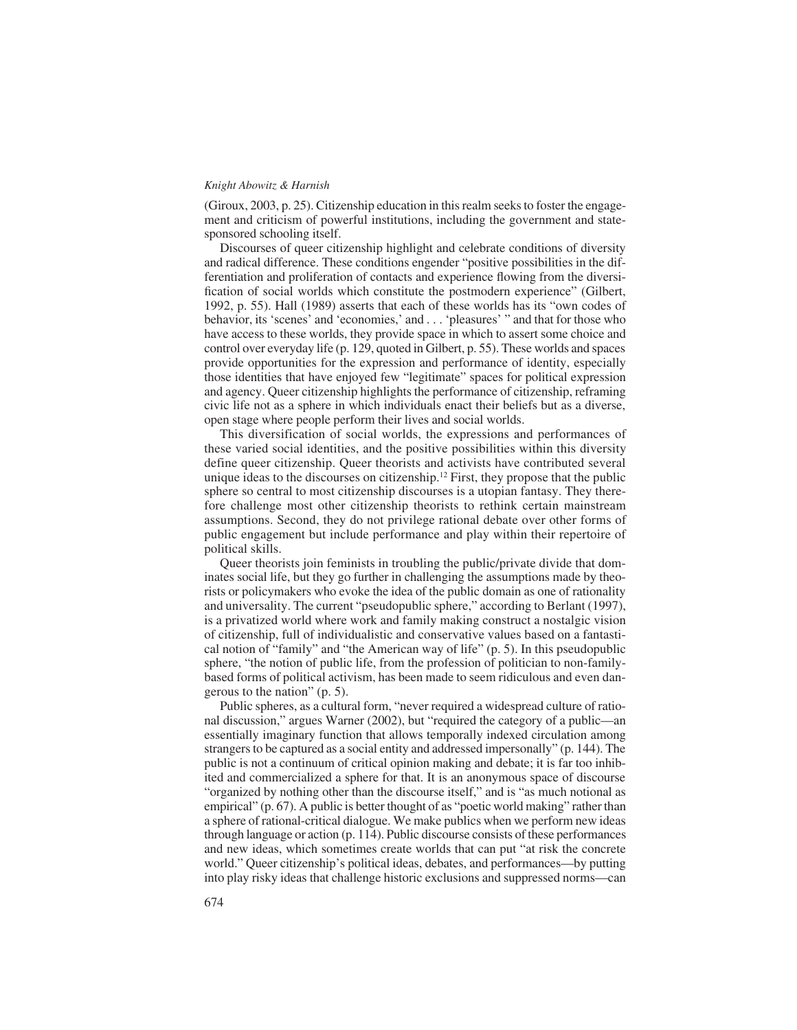(Giroux, 2003, p. 25). Citizenship education in thisrealm seeksto foster the engagement and criticism of powerful institutions, including the government and statesponsored schooling itself.

Discourses of queer citizenship highlight and celebrate conditions of diversity and radical difference. These conditions engender "positive possibilities in the differentiation and proliferation of contacts and experience flowing from the diversification of social worlds which constitute the postmodern experience" (Gilbert, 1992, p. 55). Hall (1989) asserts that each of these worlds has its "own codes of behavior, its 'scenes' and 'economies,' and . . . 'pleasures' " and that for those who have access to these worlds, they provide space in which to assert some choice and control over everyday life (p. 129, quoted in Gilbert, p. 55). These worlds and spaces provide opportunities for the expression and performance of identity, especially those identities that have enjoyed few "legitimate" spaces for political expression and agency. Queer citizenship highlights the performance of citizenship, reframing civic life not as a sphere in which individuals enact their beliefs but as a diverse, open stage where people perform their lives and social worlds.

This diversification of social worlds, the expressions and performances of these varied social identities, and the positive possibilities within this diversity define queer citizenship. Queer theorists and activists have contributed several unique ideas to the discourses on citizenship. <sup>12</sup> First, they propose that the public sphere so central to most citizenship discourses is a utopian fantasy. They therefore challenge most other citizenship theorists to rethink certain mainstream assumptions. Second, they do not privilege rational debate over other forms of public engagement but include performance and play within their repertoire of political skills.

Queer theorists join feminists in troubling the public/private divide that dominates social life, but they go further in challenging the assumptions made by theorists or policymakers who evoke the idea of the public domain as one of rationality and universality. The current "pseudopublic sphere," according to Berlant (1997), is a privatized world where work and family making construct a nostalgic vision of citizenship, full of individualistic and conservative values based on a fantastical notion of "family" and "the American way of life" (p. 5). In this pseudopublic sphere, "the notion of public life, from the profession of politician to non-familybased forms of political activism, has been made to seem ridiculous and even dangerous to the nation" (p. 5).

Public spheres, as a cultural form, "never required a widespread culture of rational discussion," argues Warner (2002), but "required the category of a public—an essentially imaginary function that allows temporally indexed circulation among strangers to be captured as a social entity and addressed impersonally" (p. 144). The public is not a continuum of critical opinion making and debate; it is far too inhibited and commercialized a sphere for that. It is an anonymous space of discourse "organized by nothing other than the discourse itself," and is "as much notional as empirical" (p. 67). A public is better thought of as "poetic world making" rather than a sphere of rational-critical dialogue. We make publics when we perform new ideas through language or action (p. 114). Public discourse consists of these performances and new ideas, which sometimes create worlds that can put "at risk the concrete world." Queer citizenship's political ideas, debates, and performances—by putting into play risky ideas that challenge historic exclusions and suppressed norms—can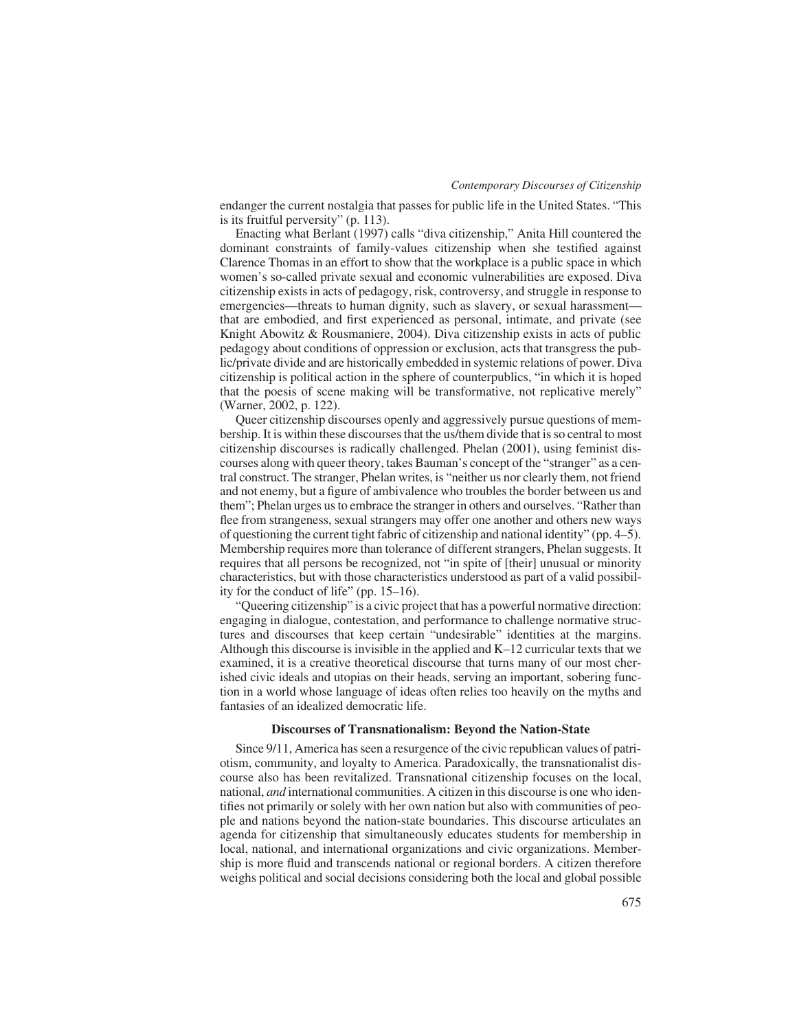endanger the current nostalgia that passes for public life in the United States. "This is its fruitful perversity" (p. 113).

Enacting what Berlant (1997) calls "diva citizenship," Anita Hill countered the dominant constraints of family-values citizenship when she testified against Clarence Thomas in an effort to show that the workplace is a public space in which women's so-called private sexual and economic vulnerabilities are exposed. Diva citizenship exists in acts of pedagogy, risk, controversy, and struggle in response to emergencies—threats to human dignity, such as slavery, or sexual harassment that are embodied, and first experienced as personal, intimate, and private (see Knight Abowitz & Rousmaniere, 2004). Diva citizenship exists in acts of public pedagogy about conditions of oppression or exclusion, acts that transgress the public/private divide and are historically embedded in systemic relations of power. Diva citizenship is political action in the sphere of counterpublics, "in which it is hoped that the poesis of scene making will be transformative, not replicative merely" (Warner, 2002, p. 122).

Queer citizenship discourses openly and aggressively pursue questions of membership. It is within these discoursesthat the us/them divide that isso central to most citizenship discourses is radically challenged. Phelan (2001), using feminist discourses along with queer theory, takes Bauman's concept of the "stranger" as a central construct. The stranger, Phelan writes, is "neither us nor clearly them, not friend and not enemy, but a figure of ambivalence who troubles the border between us and them"; Phelan urges us to embrace the stranger in others and ourselves. "Rather than flee from strangeness, sexual strangers may offer one another and others new ways of questioning the current tight fabric of citizenship and national identity" (pp. 4–5). Membership requires more than tolerance of different strangers, Phelan suggests. It requires that all persons be recognized, not "in spite of [their] unusual or minority characteristics, but with those characteristics understood as part of a valid possibility for the conduct of life" (pp. 15–16).

"Queering citizenship" is a civic project that has a powerful normative direction: engaging in dialogue, contestation, and performance to challenge normative structures and discourses that keep certain "undesirable" identities at the margins. Although this discourse is invisible in the applied and K–12 curricular texts that we examined, it is a creative theoretical discourse that turns many of our most cherished civic ideals and utopias on their heads, serving an important, sobering function in a world whose language of ideas often relies too heavily on the myths and fantasies of an idealized democratic life.

### **Discourses of Transnationalism: Beyond the Nation-State**

Since 9/11, America has seen a resurgence of the civic republican values of patriotism, community, and loyalty to America. Paradoxically, the transnationalist discourse also has been revitalized. Transnational citizenship focuses on the local, national, *and* international communities. A citizen in this discourse is one who identifies not primarily or solely with her own nation but also with communities of people and nations beyond the nation-state boundaries. This discourse articulates an agenda for citizenship that simultaneously educates students for membership in local, national, and international organizations and civic organizations. Membership is more fluid and transcends national or regional borders. A citizen therefore weighs political and social decisions considering both the local and global possible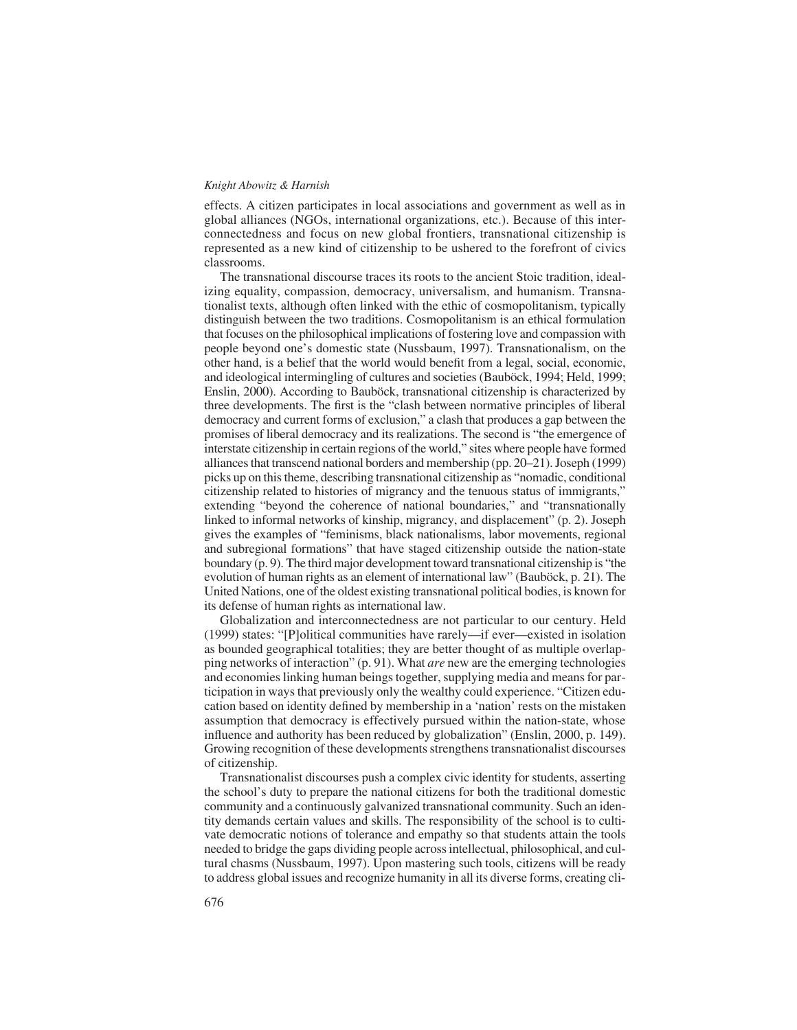effects. A citizen participates in local associations and government as well as in global alliances (NGOs, international organizations, etc.). Because of this interconnectedness and focus on new global frontiers, transnational citizenship is represented as a new kind of citizenship to be ushered to the forefront of civics classrooms.

The transnational discourse traces its roots to the ancient Stoic tradition, idealizing equality, compassion, democracy, universalism, and humanism. Transnationalist texts, although often linked with the ethic of cosmopolitanism, typically distinguish between the two traditions. Cosmopolitanism is an ethical formulation that focuses on the philosophical implications of fostering love and compassion with people beyond one's domestic state (Nussbaum, 1997). Transnationalism, on the other hand, is a belief that the world would benefit from a legal, social, economic, and ideological intermingling of cultures and societies(Bauböck, 1994; Held, 1999; Enslin, 2000). According to Bauböck, transnational citizenship is characterized by three developments. The first is the "clash between normative principles of liberal democracy and current forms of exclusion," a clash that produces a gap between the promises of liberal democracy and its realizations. The second is "the emergence of interstate citizenship in certain regions of the world," sites where people have formed alliancesthat transcend national borders and membership (pp. 20–21).Joseph (1999) picks up on thistheme, describing transnational citizenship as "nomadic, conditional citizenship related to histories of migrancy and the tenuous status of immigrants," extending "beyond the coherence of national boundaries," and "transnationally linked to informal networks of kinship, migrancy, and displacement" (p. 2). Joseph gives the examples of "feminisms, black nationalisms, labor movements, regional and subregional formations" that have staged citizenship outside the nation-state boundary (p. 9). The third major development toward transnational citizenship is "the evolution of human rights as an element of international law" (Bauböck, p. 21). The United Nations, one of the oldest existing transnational political bodies, is known for its defense of human rights as international law.

Globalization and interconnectedness are not particular to our century. Held (1999) states: "[P]olitical communities have rarely—if ever—existed in isolation as bounded geographical totalities; they are better thought of as multiple overlapping networks of interaction" (p. 91). What *are* new are the emerging technologies and economies linking human beings together, supplying media and means for participation in waysthat previously only the wealthy could experience. "Citizen education based on identity defined by membership in a 'nation' rests on the mistaken assumption that democracy is effectively pursued within the nation-state, whose influence and authority has been reduced by globalization" (Enslin, 2000, p. 149). Growing recognition of these developments strengthens transnationalist discourses of citizenship.

Transnationalist discourses push a complex civic identity for students, asserting the school's duty to prepare the national citizens for both the traditional domestic community and a continuously galvanized transnational community. Such an identity demands certain values and skills. The responsibility of the school is to cultivate democratic notions of tolerance and empathy so that students attain the tools needed to bridge the gaps dividing people acrossintellectual, philosophical, and cultural chasms (Nussbaum, 1997). Upon mastering such tools, citizens will be ready to address global issues and recognize humanity in all its diverse forms, creating cli-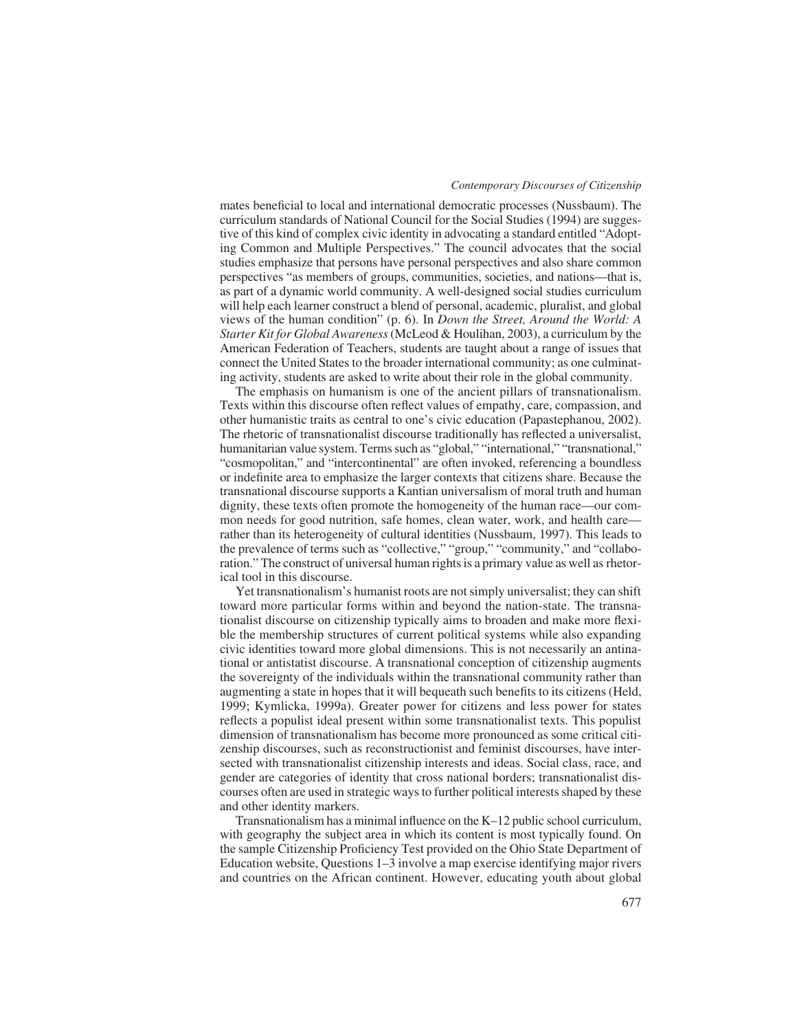mates beneficial to local and international democratic processes (Nussbaum). The curriculum standards of National Council for the Social Studies (1994) are suggestive of this kind of complex civic identity in advocating a standard entitled "Adopting Common and Multiple Perspectives." The council advocates that the social studies emphasize that persons have personal perspectives and also share common perspectives "as members of groups, communities, societies, and nations—that is, as part of a dynamic world community. A well-designed social studies curriculum will help each learner construct a blend of personal, academic, pluralist, and global views of the human condition" (p. 6). In *Down the Street, Around the World: A Starter Kit for Global Awareness*(McLeod & Houlihan, 2003), a curriculum by the American Federation of Teachers, students are taught about a range of issues that connect the United States to the broader international community; as one culminating activity, students are asked to write about their role in the global community.

The emphasis on humanism is one of the ancient pillars of transnationalism. Texts within this discourse often reflect values of empathy, care, compassion, and other humanistic traits as central to one's civic education (Papastephanou, 2002). The rhetoric of transnationalist discourse traditionally has reflected a universalist, humanitarian value system. Terms such as "global," "international," "transnational," "cosmopolitan," and "intercontinental" are often invoked, referencing a boundless or indefinite area to emphasize the larger contexts that citizens share. Because the transnational discourse supports a Kantian universalism of moral truth and human dignity, these texts often promote the homogeneity of the human race—our common needs for good nutrition, safe homes, clean water, work, and health care rather than its heterogeneity of cultural identities (Nussbaum, 1997). This leads to the prevalence of terms such as "collective," "group," "community," and "collaboration." The construct of universal human rights is a primary value as well as rhetorical tool in this discourse.

Yet transnationalism's humanist roots are not simply universalist; they can shift toward more particular forms within and beyond the nation-state. The transnationalist discourse on citizenship typically aims to broaden and make more flexible the membership structures of current political systems while also expanding civic identities toward more global dimensions. This is not necessarily an antinational or antistatist discourse. A transnational conception of citizenship augments the sovereignty of the individuals within the transnational community rather than augmenting a state in hopes that it will bequeath such benefits to its citizens (Held, 1999; Kymlicka, 1999a). Greater power for citizens and less power for states reflects a populist ideal present within some transnationalist texts. This populist dimension of transnationalism has become more pronounced as some critical citizenship discourses, such as reconstructionist and feminist discourses, have intersected with transnationalist citizenship interests and ideas. Social class, race, and gender are categories of identity that cross national borders; transnationalist discourses often are used in strategic ways to further political interests shaped by these and other identity markers.

Transnationalism has a minimal influence on the K–12 public school curriculum, with geography the subject area in which its content is most typically found. On the sample Citizenship Proficiency Test provided on the Ohio State Department of Education website, Questions 1–3 involve a map exercise identifying major rivers and countries on the African continent. However, educating youth about global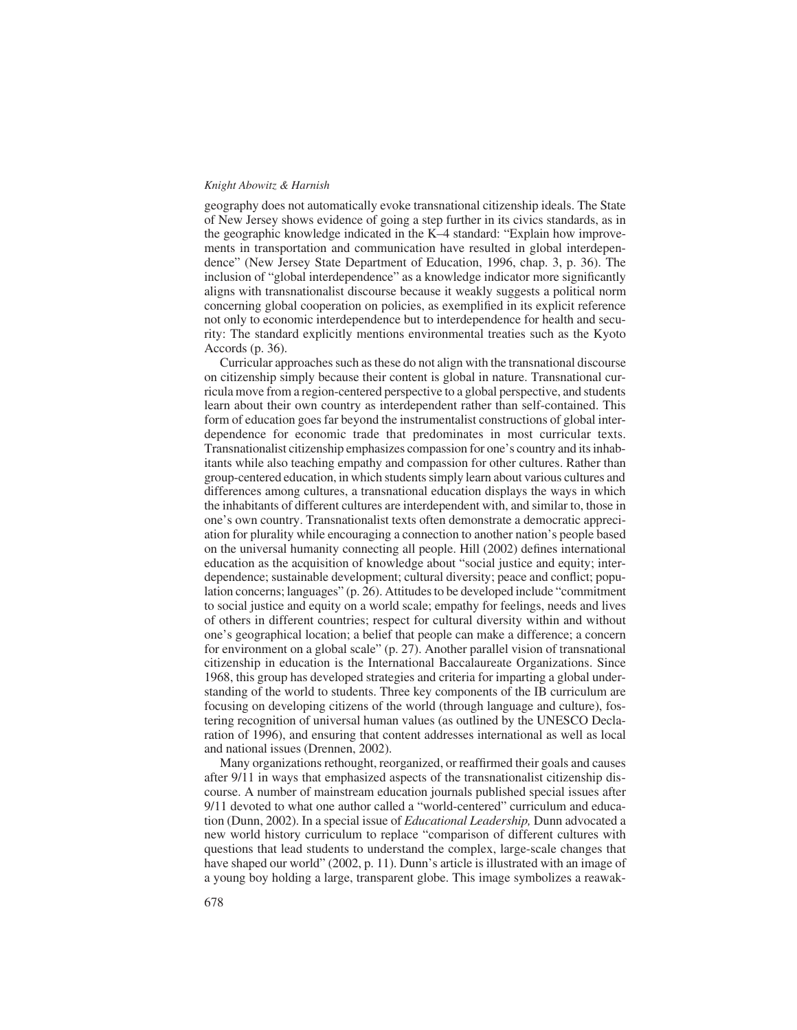geography does not automatically evoke transnational citizenship ideals. The State of New Jersey shows evidence of going a step further in its civics standards, as in the geographic knowledge indicated in the K–4 standard: "Explain how improvements in transportation and communication have resulted in global interdependence" (New Jersey State Department of Education, 1996, chap. 3, p. 36). The inclusion of "global interdependence" as a knowledge indicator more significantly aligns with transnationalist discourse because it weakly suggests a political norm concerning global cooperation on policies, as exemplified in its explicit reference not only to economic interdependence but to interdependence for health and security: The standard explicitly mentions environmental treaties such as the Kyoto Accords (p. 36).

Curricular approaches such as these do not align with the transnational discourse on citizenship simply because their content is global in nature. Transnational curricula move from a region-centered perspective to a global perspective, and students learn about their own country as interdependent rather than self-contained. This form of education goes far beyond the instrumentalist constructions of global interdependence for economic trade that predominates in most curricular texts. Transnationalist citizenship emphasizes compassion for one's country and itsinhabitants while also teaching empathy and compassion for other cultures. Rather than group-centered education, in which studentssimply learn about various cultures and differences among cultures, a transnational education displays the ways in which the inhabitants of different cultures are interdependent with, and similar to, those in one's own country. Transnationalist texts often demonstrate a democratic appreciation for plurality while encouraging a connection to another nation's people based on the universal humanity connecting all people. Hill (2002) defines international education as the acquisition of knowledge about "social justice and equity; interdependence; sustainable development; cultural diversity; peace and conflict; population concerns; languages" (p. 26). Attitudes to be developed include "commitment" to social justice and equity on a world scale; empathy for feelings, needs and lives of others in different countries; respect for cultural diversity within and without one's geographical location; a belief that people can make a difference; a concern for environment on a global scale" (p. 27). Another parallel vision of transnational citizenship in education is the International Baccalaureate Organizations. Since 1968, this group has developed strategies and criteria for imparting a global understanding of the world to students. Three key components of the IB curriculum are focusing on developing citizens of the world (through language and culture), fostering recognition of universal human values (as outlined by the UNESCO Declaration of 1996), and ensuring that content addresses international as well as local and national issues (Drennen, 2002).

Many organizations rethought, reorganized, or reaffirmed their goals and causes after 9/11 in ways that emphasized aspects of the transnationalist citizenship discourse. A number of mainstream education journals published special issues after 9/11 devoted to what one author called a "world-centered" curriculum and education (Dunn, 2002). In a special issue of *Educational Leadership,* Dunn advocated a new world history curriculum to replace "comparison of different cultures with questions that lead students to understand the complex, large-scale changes that have shaped our world" (2002, p. 11). Dunn's article is illustrated with an image of a young boy holding a large, transparent globe. This image symbolizes a reawak-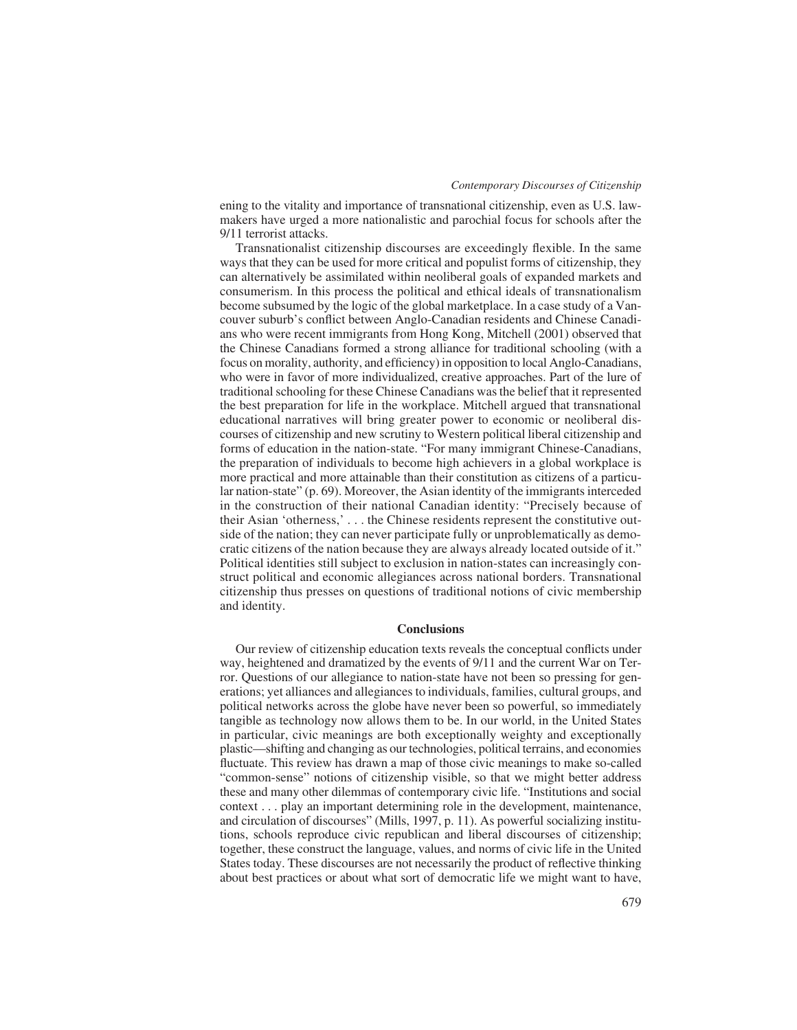ening to the vitality and importance of transnational citizenship, even as U.S. lawmakers have urged a more nationalistic and parochial focus for schools after the 9/11 terrorist attacks.

Transnationalist citizenship discourses are exceedingly flexible. In the same ways that they can be used for more critical and populist forms of citizenship, they can alternatively be assimilated within neoliberal goals of expanded markets and consumerism. In this process the political and ethical ideals of transnationalism become subsumed by the logic of the global marketplace. In a case study of a Vancouver suburb's conflict between Anglo-Canadian residents and Chinese Canadians who were recent immigrants from Hong Kong, Mitchell (2001) observed that the Chinese Canadians formed a strong alliance for traditional schooling (with a focus on morality, authority, and efficiency) in opposition to local Anglo-Canadians, who were in favor of more individualized, creative approaches. Part of the lure of traditional schooling for these Chinese Canadians was the belief that it represented the best preparation for life in the workplace. Mitchell argued that transnational educational narratives will bring greater power to economic or neoliberal discourses of citizenship and new scrutiny to Western political liberal citizenship and forms of education in the nation-state. "For many immigrant Chinese-Canadians, the preparation of individuals to become high achievers in a global workplace is more practical and more attainable than their constitution as citizens of a particular nation-state" (p. 69). Moreover, the Asian identity of the immigrants interceded in the construction of their national Canadian identity: "Precisely because of their Asian 'otherness,' . . . the Chinese residents represent the constitutive outside of the nation; they can never participate fully or unproblematically as democratic citizens of the nation because they are always already located outside of it." Political identities still subject to exclusion in nation-states can increasingly construct political and economic allegiances across national borders. Transnational citizenship thus presses on questions of traditional notions of civic membership and identity.

### **Conclusions**

Our review of citizenship education texts reveals the conceptual conflicts under way, heightened and dramatized by the events of 9/11 and the current War on Terror. Questions of our allegiance to nation-state have not been so pressing for generations; yet alliances and allegiances to individuals, families, cultural groups, and political networks across the globe have never been so powerful, so immediately tangible as technology now allows them to be. In our world, in the United States in particular, civic meanings are both exceptionally weighty and exceptionally plastic—shifting and changing as our technologies, political terrains, and economies fluctuate. This review has drawn a map of those civic meanings to make so-called "common-sense" notions of citizenship visible, so that we might better address these and many other dilemmas of contemporary civic life. "Institutions and social context . . . play an important determining role in the development, maintenance, and circulation of discourses" (Mills, 1997, p. 11). As powerful socializing institutions, schools reproduce civic republican and liberal discourses of citizenship; together, these construct the language, values, and norms of civic life in the United States today. These discourses are not necessarily the product of reflective thinking about best practices or about what sort of democratic life we might want to have,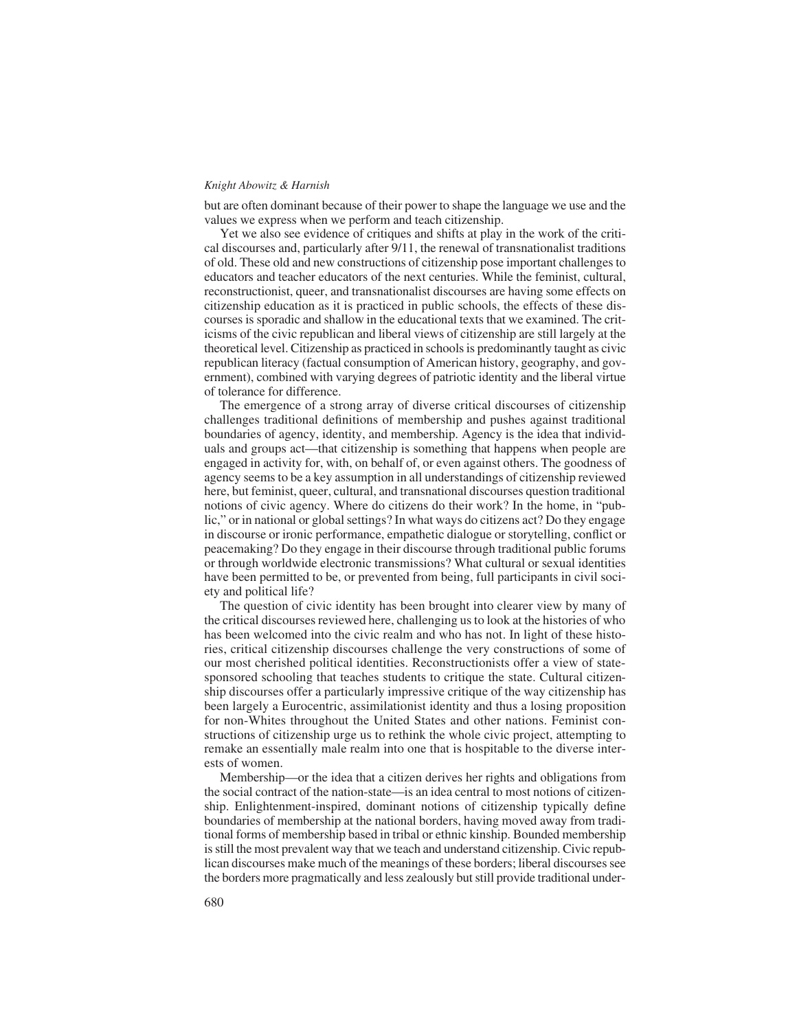but are often dominant because of their power to shape the language we use and the values we express when we perform and teach citizenship.

Yet we also see evidence of critiques and shifts at play in the work of the critical discourses and, particularly after 9/11, the renewal of transnationalist traditions of old. These old and new constructions of citizenship pose important challenges to educators and teacher educators of the next centuries. While the feminist, cultural, reconstructionist, queer, and transnationalist discourses are having some effects on citizenship education as it is practiced in public schools, the effects of these discourses is sporadic and shallow in the educational texts that we examined. The criticisms of the civic republican and liberal views of citizenship are still largely at the theoretical level. Citizenship as practiced in schools is predominantly taught as civic republican literacy (factual consumption of American history, geography, and government), combined with varying degrees of patriotic identity and the liberal virtue of tolerance for difference.

The emergence of a strong array of diverse critical discourses of citizenship challenges traditional definitions of membership and pushes against traditional boundaries of agency, identity, and membership. Agency is the idea that individuals and groups act—that citizenship is something that happens when people are engaged in activity for, with, on behalf of, or even against others. The goodness of agency seems to be a key assumption in all understandings of citizenship reviewed here, but feminist, queer, cultural, and transnational discourses question traditional notions of civic agency. Where do citizens do their work? In the home, in "public," or in national or global settings? In what ways do citizens act? Do they engage in discourse or ironic performance, empathetic dialogue or storytelling, conflict or peacemaking? Do they engage in their discourse through traditional public forums or through worldwide electronic transmissions? What cultural or sexual identities have been permitted to be, or prevented from being, full participants in civil society and political life?

The question of civic identity has been brought into clearer view by many of the critical discourses reviewed here, challenging us to look at the histories of who has been welcomed into the civic realm and who has not. In light of these histories, critical citizenship discourses challenge the very constructions of some of our most cherished political identities. Reconstructionists offer a view of statesponsored schooling that teaches students to critique the state. Cultural citizenship discourses offer a particularly impressive critique of the way citizenship has been largely a Eurocentric, assimilationist identity and thus a losing proposition for non-Whites throughout the United States and other nations. Feminist constructions of citizenship urge us to rethink the whole civic project, attempting to remake an essentially male realm into one that is hospitable to the diverse interests of women.

Membership—or the idea that a citizen derives her rights and obligations from the social contract of the nation-state—is an idea central to most notions of citizenship. Enlightenment-inspired, dominant notions of citizenship typically define boundaries of membership at the national borders, having moved away from traditional forms of membership based in tribal or ethnic kinship. Bounded membership isstill the most prevalent way that we teach and understand citizenship. Civic republican discourses make much of the meanings of these borders; liberal discourses see the borders more pragmatically and less zealously butstill provide traditional under-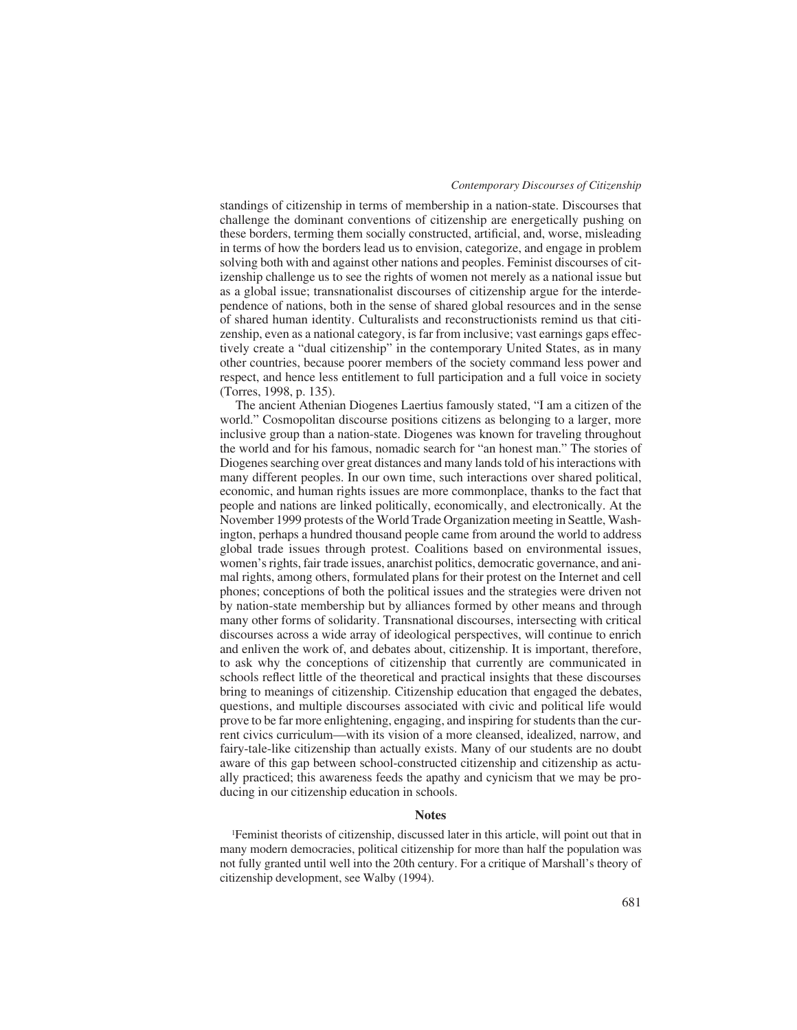standings of citizenship in terms of membership in a nation-state. Discourses that challenge the dominant conventions of citizenship are energetically pushing on these borders, terming them socially constructed, artificial, and, worse, misleading in terms of how the borders lead us to envision, categorize, and engage in problem solving both with and against other nations and peoples. Feminist discourses of citizenship challenge us to see the rights of women not merely as a national issue but as a global issue; transnationalist discourses of citizenship argue for the interdependence of nations, both in the sense of shared global resources and in the sense of shared human identity. Culturalists and reconstructionists remind us that citizenship, even as a national category, is far from inclusive; vast earnings gaps effectively create a "dual citizenship" in the contemporary United States, as in many other countries, because poorer members of the society command less power and respect, and hence less entitlement to full participation and a full voice in society (Torres, 1998, p. 135).

The ancient Athenian Diogenes Laertius famously stated, "I am a citizen of the world." Cosmopolitan discourse positions citizens as belonging to a larger, more inclusive group than a nation-state. Diogenes was known for traveling throughout the world and for his famous, nomadic search for "an honest man." The stories of Diogenes searching over great distances and many lands told of his interactions with many different peoples. In our own time, such interactions over shared political, economic, and human rights issues are more commonplace, thanks to the fact that people and nations are linked politically, economically, and electronically. At the November 1999 protests of the World Trade Organization meeting in Seattle, Washington, perhaps a hundred thousand people came from around the world to address global trade issues through protest. Coalitions based on environmental issues, women's rights, fair trade issues, anarchist politics, democratic governance, and animal rights, among others, formulated plans for their protest on the Internet and cell phones; conceptions of both the political issues and the strategies were driven not by nation-state membership but by alliances formed by other means and through many other forms of solidarity. Transnational discourses, intersecting with critical discourses across a wide array of ideological perspectives, will continue to enrich and enliven the work of, and debates about, citizenship. It is important, therefore, to ask why the conceptions of citizenship that currently are communicated in schools reflect little of the theoretical and practical insights that these discourses bring to meanings of citizenship. Citizenship education that engaged the debates, questions, and multiple discourses associated with civic and political life would prove to be far more enlightening, engaging, and inspiring forstudentsthan the current civics curriculum—with its vision of a more cleansed, idealized, narrow, and fairy-tale-like citizenship than actually exists. Many of our students are no doubt aware of this gap between school-constructed citizenship and citizenship as actually practiced; this awareness feeds the apathy and cynicism that we may be producing in our citizenship education in schools.

### **Notes**

1 Feminist theorists of citizenship, discussed later in this article, will point out that in many modern democracies, political citizenship for more than half the population was not fully granted until well into the 20th century. For a critique of Marshall's theory of citizenship development, see Walby (1994).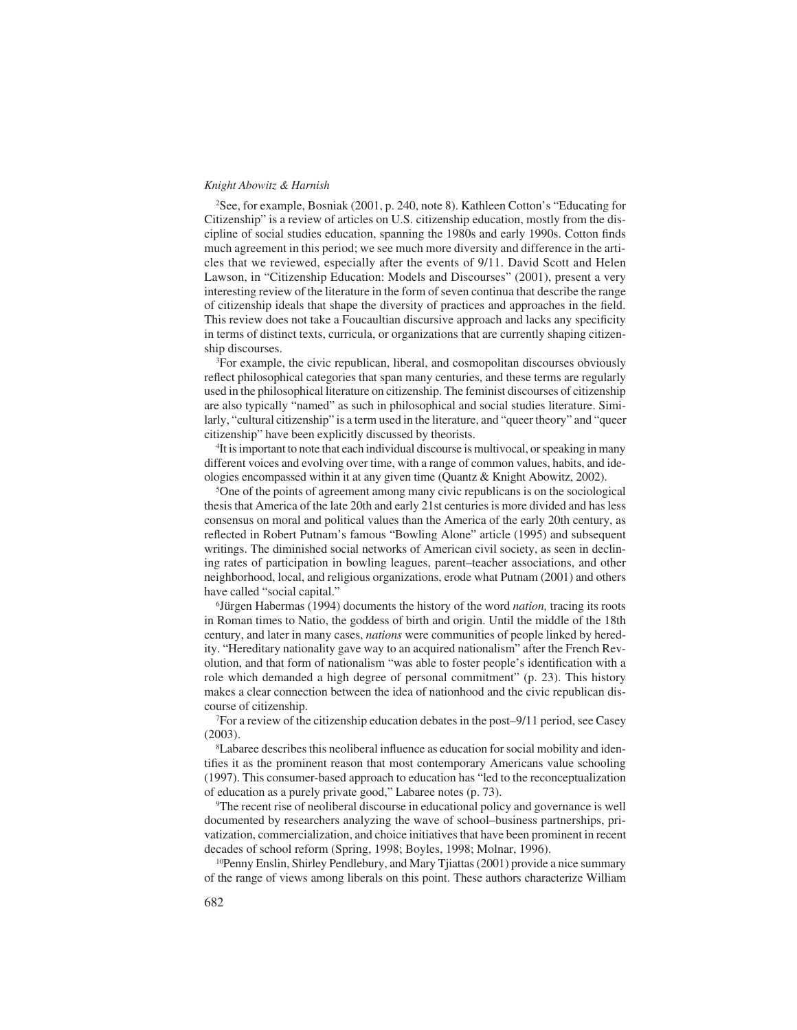2 See, for example, Bosniak (2001, p. 240, note 8). Kathleen Cotton's "Educating for Citizenship" is a review of articles on U.S. citizenship education, mostly from the discipline of social studies education, spanning the 1980s and early 1990s. Cotton finds much agreement in this period; we see much more diversity and difference in the articles that we reviewed, especially after the events of 9/11. David Scott and Helen Lawson, in "Citizenship Education: Models and Discourses" (2001), present a very interesting review of the literature in the form of seven continua that describe the range of citizenship ideals that shape the diversity of practices and approaches in the field. This review does not take a Foucaultian discursive approach and lacks any specificity in terms of distinct texts, curricula, or organizations that are currently shaping citizenship discourses.

<sup>3</sup>For example, the civic republican, liberal, and cosmopolitan discourses obviously reflect philosophical categories that span many centuries, and these terms are regularly used in the philosophical literature on citizenship. The feminist discourses of citizenship are also typically "named" as such in philosophical and social studies literature. Similarly, "cultural citizenship" is a term used in the literature, and "queer theory" and "queer citizenship" have been explicitly discussed by theorists.

<sup>4</sup>It is important to note that each individual discourse is multivocal, or speaking in many different voices and evolving over time, with a range of common values, habits, and ideologies encompassed within it at any given time (Quantz & Knight Abowitz, 2002).

5 One of the points of agreement among many civic republicans is on the sociological thesis that America of the late 20th and early 21st centuries is more divided and has less consensus on moral and political values than the America of the early 20th century, as reflected in Robert Putnam's famous "Bowling Alone" article (1995) and subsequent writings. The diminished social networks of American civil society, as seen in declining rates of participation in bowling leagues, parent–teacher associations, and other neighborhood, local, and religious organizations, erode what Putnam (2001) and others have called "social capital."

6 Jürgen Habermas (1994) documents the history of the word *nation,* tracing its roots in Roman times to Natio, the goddess of birth and origin. Until the middle of the 18th century, and later in many cases, *nations* were communities of people linked by heredity. "Hereditary nationality gave way to an acquired nationalism" after the French Revolution, and that form of nationalism "was able to foster people's identification with a role which demanded a high degree of personal commitment" (p. 23). This history makes a clear connection between the idea of nationhood and the civic republican discourse of citizenship.

 $7$ For a review of the citizenship education debates in the post–9/11 period, see Casey (2003).

<sup>8</sup>Labaree describes this neoliberal influence as education for social mobility and identifies it as the prominent reason that most contemporary Americans value schooling (1997). This consumer-based approach to education has "led to the reconceptualization of education as a purely private good," Labaree notes (p. 73).

9 The recent rise of neoliberal discourse in educational policy and governance is well documented by researchers analyzing the wave of school–business partnerships, privatization, commercialization, and choice initiatives that have been prominent in recent decades of school reform (Spring, 1998; Boyles, 1998; Molnar, 1996).

<sup>10</sup> Penny Enslin, Shirley Pendlebury, and Mary Tjiattas (2001) provide a nice summary of the range of views among liberals on this point. These authors characterize William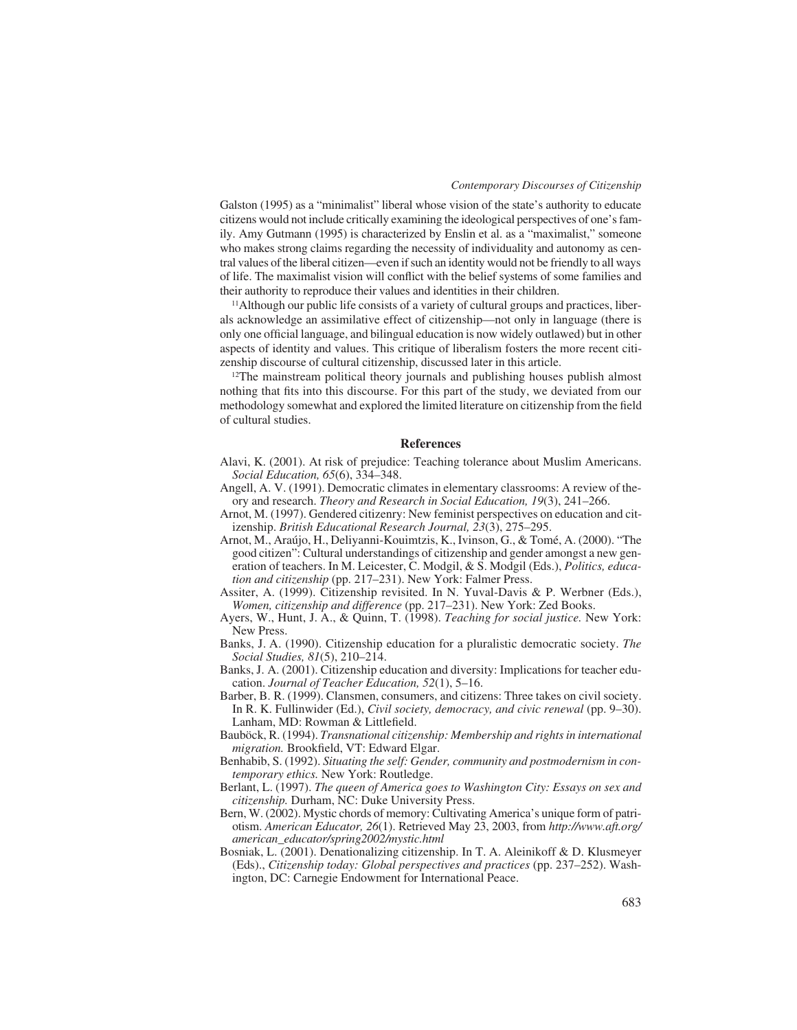Galston (1995) as a "minimalist" liberal whose vision of the state's authority to educate citizens would not include critically examining the ideological perspectives of one'sfamily. Amy Gutmann (1995) is characterized by Enslin et al. as a "maximalist," someone who makes strong claims regarding the necessity of individuality and autonomy as central values of the liberal citizen—even if such an identity would not be friendly to all ways of life. The maximalist vision will conflict with the belief systems of some families and their authority to reproduce their values and identities in their children.

11 Although our public life consists of a variety of cultural groups and practices, liberals acknowledge an assimilative effect of citizenship—not only in language (there is only one official language, and bilingual education is now widely outlawed) but in other aspects of identity and values. This critique of liberalism fosters the more recent citizenship discourse of cultural citizenship, discussed later in this article.

<sup>12</sup>The mainstream political theory journals and publishing houses publish almost nothing that fits into this discourse. For this part of the study, we deviated from our methodology somewhat and explored the limited literature on citizenship from the field of cultural studies.

### **References**

- Alavi, K. (2001). At risk of prejudice: Teaching tolerance about Muslim Americans. *Social Education, 65*(6), 334–348.
- Angell, A. V. (1991). Democratic climates in elementary classrooms: A review of theory and research. *Theory and Research in Social Education, 19*(3), 241–266.
- Arnot, M. (1997). Gendered citizenry: New feminist perspectives on education and citizenship. *British Educational Research Journal, 23*(3), 275–295.
- Arnot, M., Araújo, H., Deliyanni-Kouimtzis, K., Ivinson, G., & Tomé, A. (2000). "The good citizen": Cultural understandings of citizenship and gender amongst a new generation of teachers. In M. Leicester, C. Modgil, & S. Modgil (Eds.), *Politics, education and citizenship* (pp. 217–231). New York: Falmer Press.
- Assiter, A. (1999). Citizenship revisited. In N. Yuval-Davis & P. Werbner (Eds.), *Women, citizenship and difference* (pp. 217–231). New York: Zed Books.
- Ayers, W., Hunt, J. A., & Quinn, T. (1998). *Teaching for social justice.* New York: New Press.
- Banks, J. A. (1990). Citizenship education for a pluralistic democratic society. *The Social Studies, 81*(5), 210–214.
- Banks, J. A. (2001). Citizenship education and diversity: Implications for teacher education. *Journal of Teacher Education, 52*(1), 5–16.
- Barber, B. R. (1999). Clansmen, consumers, and citizens: Three takes on civil society. In R. K. Fullinwider (Ed.), *Civil society, democracy, and civic renewal* (pp. 9–30). Lanham, MD: Rowman & Littlefield.
- Bauböck, R. (1994). *Transnational citizenship: Membership and rightsin international migration.* Brookfield, VT: Edward Elgar.
- Benhabib, S. (1992). *Situating the self: Gender, community and postmodernism in contemporary ethics.* New York: Routledge.
- Berlant, L. (1997). *The queen of America goes to Washington City: Essays on sex and citizenship.* Durham, NC: Duke University Press.
- Bern, W. (2002). Mystic chords of memory: Cultivating America's unique form of patriotism. *American Educator, 26*(1). Retrieved May 23, 2003, from *http://www.aft.org/ american\_educator/spring2002/mystic.html*
- Bosniak, L. (2001). Denationalizing citizenship. In T. A. Aleinikoff & D. Klusmeyer (Eds)., *Citizenship today: Global perspectives and practices* (pp. 237–252). Washington, DC: Carnegie Endowment for International Peace.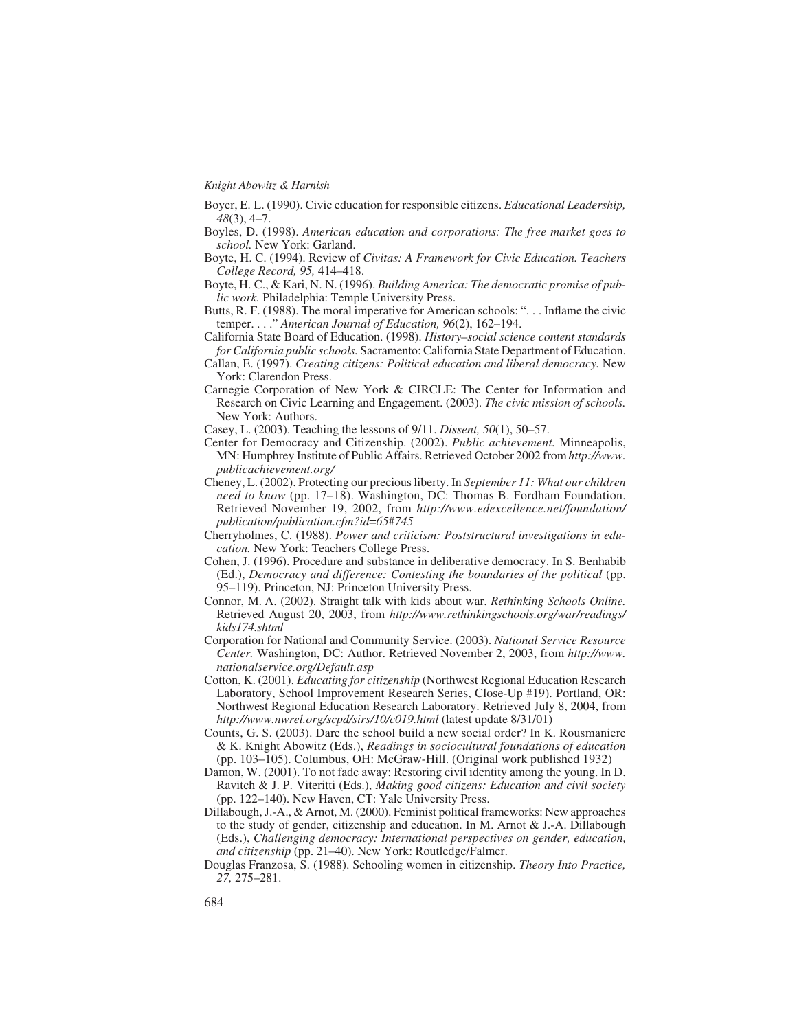- Boyer, E. L. (1990). Civic education for responsible citizens. *Educational Leadership, 48*(3), 4–7.
- Boyles, D. (1998). *American education and corporations: The free market goes to school.* New York: Garland.
- Boyte, H. C. (1994). Review of *Civitas: A Framework for Civic Education. Teachers College Record, 95,* 414–418.
- Boyte, H. C., & Kari, N. N. (1996). *Building America: The democratic promise of public work.* Philadelphia: Temple University Press.
- Butts, R. F. (1988). The moral imperative for American schools: ". . . Inflame the civic temper. . . ." *American Journal of Education, 96*(2), 162–194.
- California State Board of Education. (1998). *History–social science content standards for California public schools.* Sacramento: California State Department of Education.
- Callan, E. (1997). *Creating citizens: Political education and liberal democracy.* New York: Clarendon Press.
- Carnegie Corporation of New York & CIRCLE: The Center for Information and Research on Civic Learning and Engagement. (2003). *The civic mission of schools.* New York: Authors.
- Casey, L. (2003). Teaching the lessons of 9/11. *Dissent, 50*(1), 50–57.
- Center for Democracy and Citizenship. (2002). *Public achievement.* Minneapolis, MN: Humphrey Institute of Public Affairs. Retrieved October 2002 from*http://www. publicachievement.org/*
- Cheney, L. (2002). Protecting our preciousliberty. In *September 11: What our children need to know* (pp. 17–18). Washington, DC: Thomas B. Fordham Foundation. Retrieved November 19, 2002, from *http://www.edexcellence.net/foundation/ publication/publication.cfm?id*=*65*#*745*
- Cherryholmes, C. (1988). *Power and criticism: Poststructural investigations in education.* New York: Teachers College Press.
- Cohen, J. (1996). Procedure and substance in deliberative democracy. In S. Benhabib (Ed.), *Democracy and difference: Contesting the boundaries of the political* (pp. 95–119). Princeton, NJ: Princeton University Press.
- Connor, M. A. (2002). Straight talk with kids about war. *Rethinking Schools Online.* Retrieved August 20, 2003, from *http://www.rethinkingschools.org/war/readings/ kids174.shtml*
- Corporation for National and Community Service. (2003). *National Service Resource Center.* Washington, DC: Author. Retrieved November 2, 2003, from *http://www. nationalservice.org/Default.asp*
- Cotton, K. (2001). *Educating for citizenship* (Northwest Regional Education Research Laboratory, School Improvement Research Series, Close-Up #19). Portland, OR: Northwest Regional Education Research Laboratory. Retrieved July 8, 2004, from *http://www.nwrel.org/scpd/sirs/10/c019.html* (latest update 8/31/01)
- Counts, G. S. (2003). Dare the school build a new social order? In K. Rousmaniere & K. Knight Abowitz (Eds.), *Readings in sociocultural foundations of education* (pp. 103–105). Columbus, OH: McGraw-Hill. (Original work published 1932)
- Damon, W. (2001). To not fade away: Restoring civil identity among the young. In D. Ravitch & J. P. Viteritti (Eds.), *Making good citizens: Education and civil society* (pp. 122–140). New Haven, CT: Yale University Press.
- Dillabough,J.-A., & Arnot, M. (2000). Feminist political frameworks: New approaches to the study of gender, citizenship and education. In M. Arnot & J.-A. Dillabough (Eds.), *Challenging democracy: International perspectives on gender, education, and citizenship* (pp. 21–40). New York: Routledge/Falmer.
- Douglas Franzosa, S. (1988). Schooling women in citizenship. *Theory Into Practice, 27,* 275–281.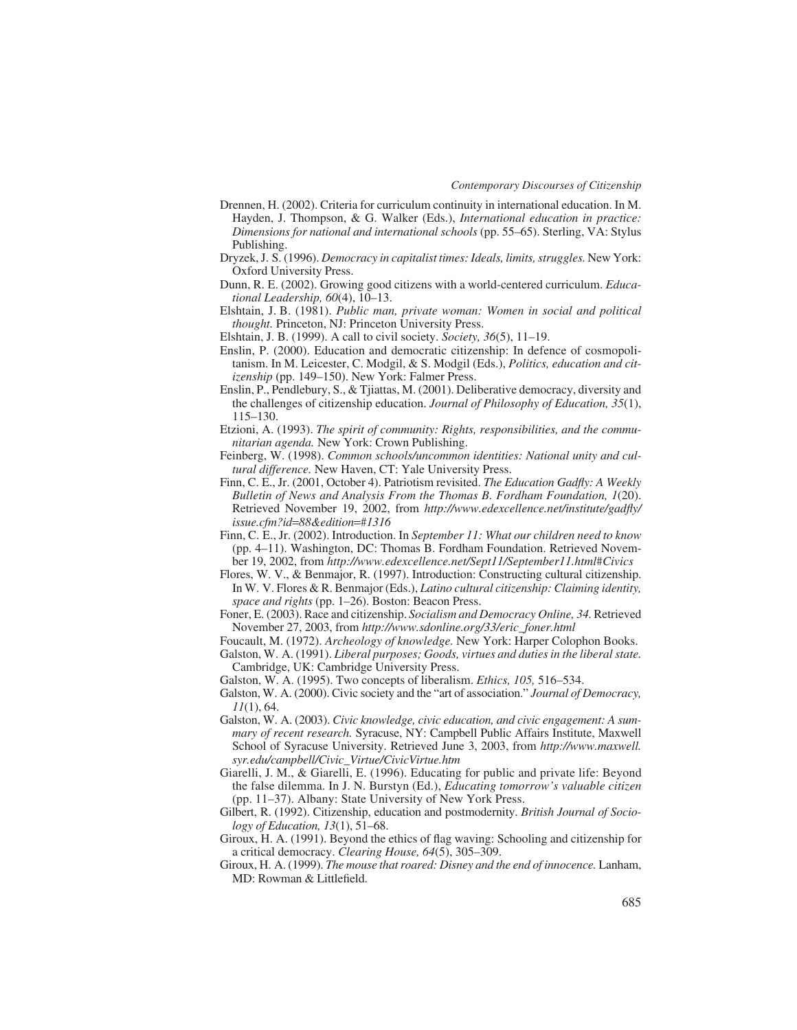- Drennen, H. (2002). Criteria for curriculum continuity in international education. In M. Hayden, J. Thompson, & G. Walker (Eds.), *International education in practice: Dimensions for national and international schools* (pp. 55–65). Sterling, VA: Stylus Publishing.
- Dryzek, J. S. (1996). *Democracy in capitalist times: Ideals, limits, struggles*. New York: Oxford University Press.
- Dunn, R. E. (2002). Growing good citizens with a world-centered curriculum. *Educational Leadership, 60*(4), 10–13.
- Elshtain, J. B. (1981). *Public man, private woman: Women in social and political thought.* Princeton, NJ: Princeton University Press.
- Elshtain, J. B. (1999). A call to civil society. *Society, 36*(5), 11–19.
- Enslin, P. (2000). Education and democratic citizenship: In defence of cosmopolitanism. In M. Leicester, C. Modgil, & S. Modgil (Eds.), *Politics, education and citizenship* (pp. 149–150). New York: Falmer Press.
- Enslin, P., Pendlebury, S., & Tjiattas, M. (2001). Deliberative democracy, diversity and the challenges of citizenship education. *Journal of Philosophy of Education, 35*(1), 115–130.
- Etzioni, A. (1993). *The spirit of community: Rights, responsibilities, and the communitarian agenda.* New York: Crown Publishing.
- Feinberg, W. (1998). *Common schools/uncommon identities: National unity and cultural difference.* New Haven, CT: Yale University Press.
- Finn, C. E., Jr. (2001, October 4). Patriotism revisited. *The Education Gadfly: A Weekly Bulletin of News and Analysis From the Thomas B. Fordham Foundation, 1*(20). Retrieved November 19, 2002, from *http://www.edexcellence.net/institute/gadfly/ issue.cfm?id*=*88&edition*=#*1316*
- Finn, C. E., Jr. (2002). Introduction. In *September 11: What our children need to know* (pp. 4–11). Washington, DC: Thomas B. Fordham Foundation. Retrieved November 19, 2002, from *http://www.edexcellence.net/Sept11/September11.html*#*Civics*
- Flores, W. V., & Benmajor, R. (1997). Introduction: Constructing cultural citizenship. In W. V. Flores & R. Benmajor (Eds.), *Latino cultural citizenship: Claiming identity, space and rights* (pp. 1–26). Boston: Beacon Press.
- Foner, E. (2003). Race and citizenship. *Socialism and Democracy Online, 34.*Retrieved November 27, 2003, from *http://www.sdonline.org/33/eric\_foner.html*
- Foucault, M. (1972). *Archeology of knowledge.* New York: Harper Colophon Books.
- Galston, W. A. (1991). *Liberal purposes; Goods, virtues and duties in the liberal state.* Cambridge, UK: Cambridge University Press.
- Galston, W. A. (1995). Two concepts of liberalism. *Ethics, 105,* 516–534.
- Galston, W. A. (2000). Civic society and the "art of association." *Journal of Democracy, 11*(1), 64.
- Galston, W. A. (2003). *Civic knowledge, civic education, and civic engagement: A summary of recent research.* Syracuse, NY: Campbell Public Affairs Institute, Maxwell School of Syracuse University. Retrieved June 3, 2003, from *http://www.maxwell. syr.edu/campbell/Civic\_Virtue/CivicVirtue.htm*
- Giarelli, J. M., & Giarelli, E. (1996). Educating for public and private life: Beyond the false dilemma. In J. N. Burstyn (Ed.), *Educating tomorrow's valuable citizen* (pp. 11–37). Albany: State University of New York Press.
- Gilbert, R. (1992). Citizenship, education and postmodernity. *British Journal of Sociology of Education, 13*(1), 51–68.
- Giroux, H. A. (1991). Beyond the ethics of flag waving: Schooling and citizenship for a critical democracy. *Clearing House, 64*(5), 305–309.
- Giroux, H. A. (1999). *The mouse that roared: Disney and the end of innocence*. Lanham, MD: Rowman & Littlefield.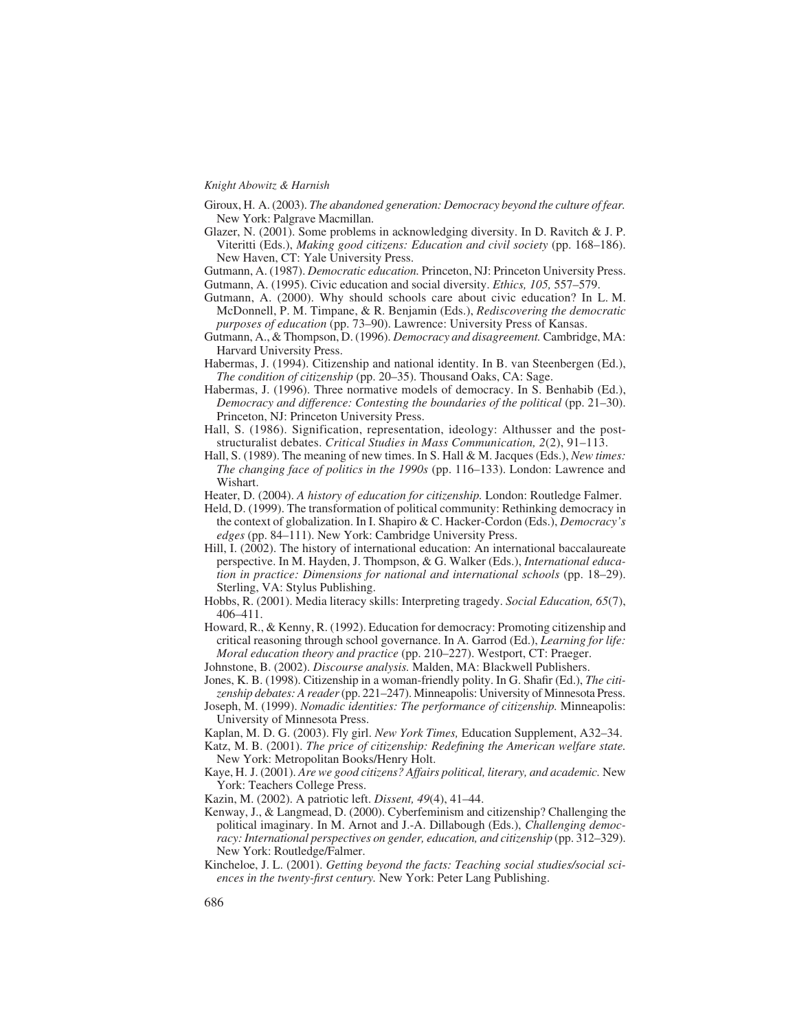- Giroux, H. A.(2003). *The abandoned generation: Democracy beyond the culture of fear.* New York: Palgrave Macmillan.
- Glazer, N. (2001). Some problems in acknowledging diversity. In D. Ravitch & J. P. Viteritti (Eds.), *Making good citizens: Education and civil society* (pp. 168–186). New Haven, CT: Yale University Press.
- Gutmann, A. (1987). *Democratic education.* Princeton, NJ: Princeton University Press. Gutmann, A. (1995). Civic education and social diversity. *Ethics, 105,* 557–579.
- Gutmann, A. (2000). Why should schools care about civic education? In L. M. McDonnell, P. M. Timpane, & R. Benjamin (Eds.), *Rediscovering the democratic purposes of education* (pp. 73–90). Lawrence: University Press of Kansas.
- Gutmann, A., & Thompson, D. (1996). *Democracy and disagreement.* Cambridge, MA: Harvard University Press.
- Habermas, J. (1994). Citizenship and national identity. In B. van Steenbergen (Ed.), *The condition of citizenship* (pp. 20–35). Thousand Oaks, CA: Sage.
- Habermas, J. (1996). Three normative models of democracy. In S. Benhabib (Ed.), *Democracy and difference: Contesting the boundaries of the political* (pp. 21–30). Princeton, NJ: Princeton University Press.
- Hall, S. (1986). Signification, representation, ideology: Althusser and the poststructuralist debates. *Critical Studies in Mass Communication, 2*(2), 91–113.
- Hall, S. (1989). The meaning of new times. In S. Hall & M. Jacques (Eds.), *New times: The changing face of politics in the 1990s* (pp. 116–133). London: Lawrence and Wishart.
- Heater, D. (2004). *A history of education for citizenship.* London: Routledge Falmer.
- Held, D. (1999). The transformation of political community: Rethinking democracy in the context of globalization. In I. Shapiro & C. Hacker-Cordon (Eds.), *Democracy's edges* (pp. 84–111). New York: Cambridge University Press.
- Hill, I. (2002). The history of international education: An international baccalaureate perspective. In M. Hayden, J. Thompson, & G. Walker (Eds.), *International education in practice: Dimensions for national and international schools* (pp. 18–29). Sterling, VA: Stylus Publishing.
- Hobbs, R. (2001). Media literacy skills: Interpreting tragedy. *Social Education, 65*(7), 406–411.
- Howard, R., & Kenny, R. (1992). Education for democracy: Promoting citizenship and critical reasoning through school governance. In A. Garrod (Ed.), *Learning for life: Moral education theory and practice* (pp. 210–227). Westport, CT: Praeger.
- Johnstone, B. (2002). *Discourse analysis.* Malden, MA: Blackwell Publishers.
- Jones, K. B. (1998). Citizenship in a woman-friendly polity. In G. Shafir (Ed.), *The citizenship debates: A reader*(pp. 221–247). Minneapolis: University of Minnesota Press.
- Joseph, M. (1999). *Nomadic identities: The performance of citizenship.* Minneapolis: University of Minnesota Press.
- Kaplan, M. D. G. (2003). Fly girl. *New York Times,* Education Supplement, A32–34.
- Katz, M. B. (2001). *The price of citizenship: Redefining the American welfare state.* New York: Metropolitan Books/Henry Holt.
- Kaye, H. J. (2001). *Are we good citizens? Affairs political, literary, and academic.* New York: Teachers College Press.

Kazin, M. (2002). A patriotic left. *Dissent, 49*(4), 41–44.

- Kenway, J., & Langmead, D. (2000). Cyberfeminism and citizenship? Challenging the political imaginary. In M. Arnot and J.-A. Dillabough (Eds.), *Challenging democracy: International perspectives on gender, education, and citizenship* (pp. 312–329). New York: Routledge/Falmer.
- Kincheloe, J. L. (2001). *Getting beyond the facts: Teaching social studies/social sciences in the twenty-first century.* New York: Peter Lang Publishing.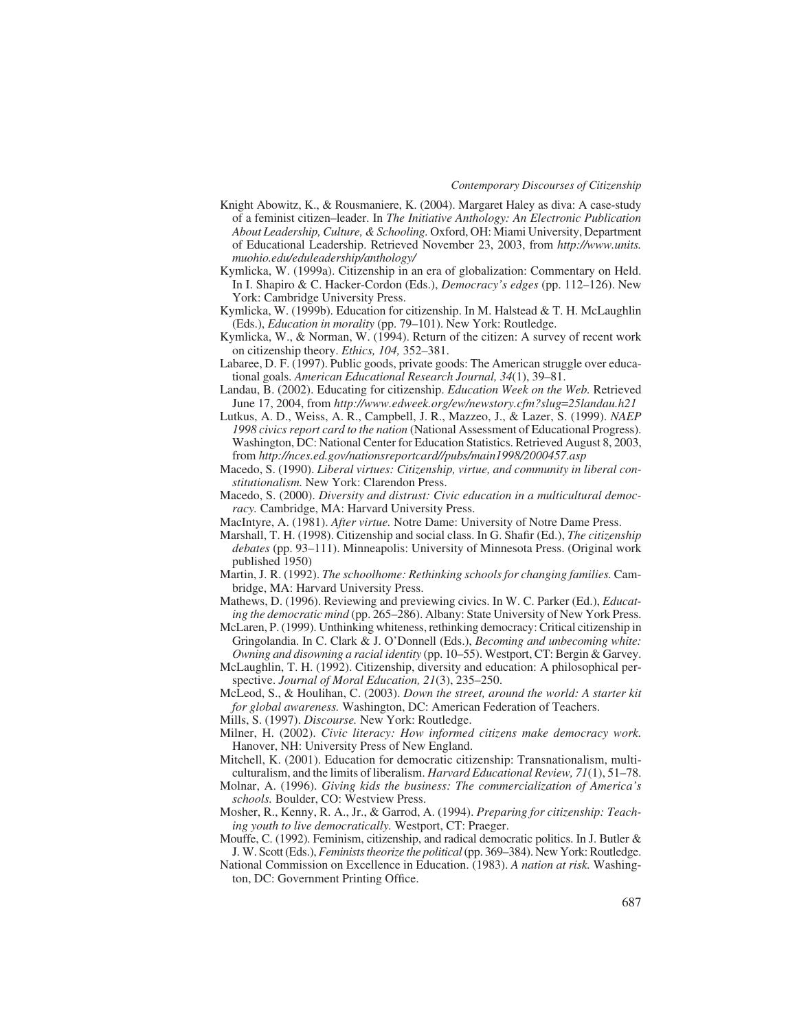- Knight Abowitz, K., & Rousmaniere, K. (2004). Margaret Haley as diva: A case-study of a feminist citizen–leader. In *The Initiative Anthology: An Electronic Publication About Leadership, Culture, & Schooling.* Oxford, OH: Miami University, Department of Educational Leadership. Retrieved November 23, 2003, from *http://www.units. muohio.edu/eduleadership/anthology/*
- Kymlicka, W. (1999a). Citizenship in an era of globalization: Commentary on Held. In I. Shapiro & C. Hacker-Cordon (Eds.), *Democracy's edges* (pp. 112–126). New York: Cambridge University Press.
- Kymlicka, W. (1999b). Education for citizenship. In M. Halstead & T. H. McLaughlin (Eds.), *Education in morality* (pp. 79–101). New York: Routledge.
- Kymlicka, W., & Norman, W. (1994). Return of the citizen: A survey of recent work on citizenship theory. *Ethics, 104,* 352–381.
- Labaree, D. F. (1997). Public goods, private goods: The American struggle over educational goals. *American Educational Research Journal, 34*(1), 39–81.
- Landau, B. (2002). Educating for citizenship. *Education Week on the Web.* Retrieved June 17, 2004, from *http://www.edweek.org/ew/newstory.cfm?slug*=*25landau.h21*
- Lutkus, A. D., Weiss, A. R., Campbell, J. R., Mazzeo, J., & Lazer, S. (1999). *NAEP* 1998 *civics report card to the nation* (National Assessment of Educational Progress). Washington, DC: National Center for Education Statistics. Retrieved August 8, 2003, from *http://nces.ed.gov/nationsreportcard//pubs/main1998/2000457.asp*
- Macedo, S. (1990). *Liberal virtues: Citizenship, virtue, and community in liberal constitutionalism.* New York: Clarendon Press.
- Macedo, S. (2000). *Diversity and distrust: Civic education in a multicultural democracy.* Cambridge, MA: Harvard University Press.
- MacIntyre, A. (1981). *After virtue.* Notre Dame: University of Notre Dame Press.
- Marshall, T. H. (1998). Citizenship and social class. In G. Shafir (Ed.), *The citizenship debates* (pp. 93–111). Minneapolis: University of Minnesota Press. (Original work published 1950)
- Martin, J. R. (1992). *The schoolhome: Rethinking schools for changing families.* Cambridge, MA: Harvard University Press.
- Mathews, D. (1996). Reviewing and previewing civics. In W. C. Parker (Ed.), *Educating the democratic mind* (pp. 265–286). Albany: State University of New York Press.
- McLaren, P. (1999). Unthinking whiteness, rethinking democracy: Critical citizenship in Gringolandia. In C. Clark & J. O'Donnell (Eds.), *Becoming and unbecoming white: Owning and disowning a racial identity* (pp. 10–55). Westport, CT: Bergin & Garvey.
- McLaughlin, T. H. (1992). Citizenship, diversity and education: A philosophical perspective. *Journal of Moral Education, 21*(3), 235–250.
- McLeod, S., & Houlihan, C. (2003). *Down the street, around the world: A starter kit for global awareness.* Washington, DC: American Federation of Teachers.
- Mills, S. (1997). *Discourse.* New York: Routledge.
- Milner, H. (2002). *Civic literacy: How informed citizens make democracy work.* Hanover, NH: University Press of New England.
- Mitchell, K. (2001). Education for democratic citizenship: Transnationalism, multiculturalism, and the limits of liberalism. *Harvard Educational Review, 71*(1), 51–78.
- Molnar, A. (1996). *Giving kids the business: The commercialization of America's schools.* Boulder, CO: Westview Press.
- Mosher, R., Kenny, R. A., Jr., & Garrod, A. (1994). *Preparing for citizenship: Teaching youth to live democratically.* Westport, CT: Praeger.
- Mouffe, C. (1992). Feminism, citizenship, and radical democratic politics. In J. Butler & J. W. Scott (Eds.), *Feminists theorize the political* (pp. 369-384). New York: Routledge.
- National Commission on Excellence in Education. (1983). *A nation at risk.* Washington, DC: Government Printing Office.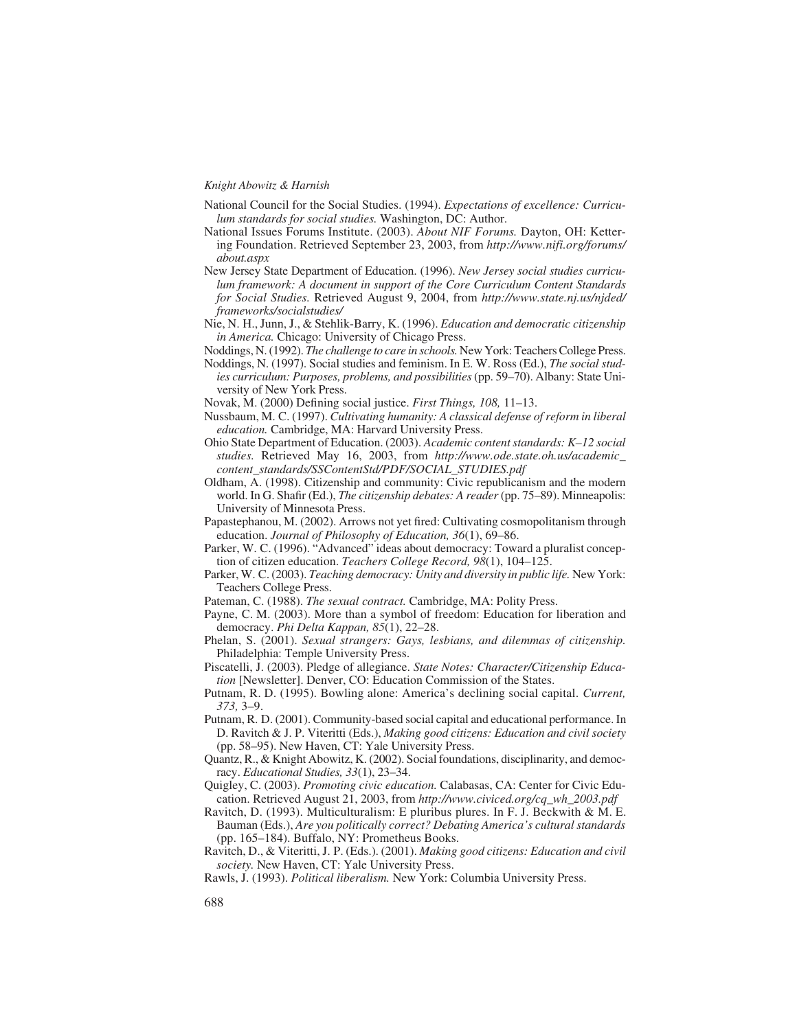- National Council for the Social Studies. (1994). *Expectations of excellence: Curriculum standards for social studies.* Washington, DC: Author.
- National Issues Forums Institute. (2003). *About NIF Forums.* Dayton, OH: Kettering Foundation. Retrieved September 23, 2003, from *http://www.nifi.org/forums/ about.aspx*
- New Jersey State Department of Education. (1996). *New Jersey social studies curriculum framework: A document in support of the Core Curriculum Content Standards for Social Studies.* Retrieved August 9, 2004, from *http://www.state.nj.us/njded/ frameworks/socialstudies/*
- Nie, N. H., Junn, J., & Stehlik-Barry, K. (1996). *Education and democratic citizenship in America.* Chicago: University of Chicago Press.
- Noddings, N.(1992). *The challenge to care in schools.*New York: TeachersCollege Press.
- Noddings, N. (1997). Social studies and feminism. In E. W. Ross (Ed.), *The social studies curriculum: Purposes, problems, and possibilities*(pp. 59–70). Albany: State University of New York Press.
- Novak, M. (2000) Defining social justice. *First Things, 108,* 11–13.
- Nussbaum, M. C. (1997). *Cultivating humanity: A classical defense ofreform in liberal education.* Cambridge, MA: Harvard University Press.
- Ohio State Department of Education. (2003). *Academic contentstandards: K–12 social studies.* Retrieved May 16, 2003, from *http://www.ode.state.oh.us/academic\_ content\_standards/SSContentStd/PDF/SOCIAL\_STUDIES.pdf*
- Oldham, A. (1998). Citizenship and community: Civic republicanism and the modern world. In G. Shafir (Ed.), *The citizenship debates: A reader*(pp. 75–89). Minneapolis: University of Minnesota Press.
- Papastephanou, M. (2002). Arrows not yet fired: Cultivating cosmopolitanism through education. *Journal of Philosophy of Education, 36*(1), 69–86.
- Parker, W. C. (1996). "Advanced" ideas about democracy: Toward a pluralist conception of citizen education. *Teachers College Record, 98*(1), 104–125.
- Parker, W. C.(2003). *Teaching democracy: Unity and diversity in public life.* New York: Teachers College Press.
- Pateman, C. (1988). *The sexual contract.* Cambridge, MA: Polity Press.
- Payne, C. M. (2003). More than a symbol of freedom: Education for liberation and democracy. *Phi Delta Kappan, 85*(1), 22–28.
- Phelan, S. (2001). *Sexual strangers: Gays, lesbians, and dilemmas of citizenship.* Philadelphia: Temple University Press.
- Piscatelli, J. (2003). Pledge of allegiance. *State Notes: Character/Citizenship Education* [Newsletter]. Denver, CO: Education Commission of the States.
- Putnam, R. D. (1995). Bowling alone: America's declining social capital. *Current, 373,* 3–9.
- Putnam, R. D. (2001). Community-based social capital and educational performance. In D. Ravitch & J. P. Viteritti (Eds.), *Making good citizens: Education and civil society* (pp. 58–95). New Haven, CT: Yale University Press.
- Quantz, R., & Knight Abowitz, K. (2002). Social foundations, disciplinarity, and democracy. *Educational Studies, 33*(1), 23–34.
- Quigley, C. (2003). *Promoting civic education.* Calabasas, CA: Center for Civic Education. Retrieved August 21, 2003, from *http://www.civiced.org/cq\_wh\_2003.pdf*
- Ravitch, D. (1993). Multiculturalism: E pluribus plures. In F. J. Beckwith & M. E. Bauman (Eds.), *Are you politically correct? Debating America's culturalstandards* (pp. 165–184). Buffalo, NY: Prometheus Books.
- Ravitch, D., & Viteritti, J. P. (Eds.). (2001). *Making good citizens: Education and civil society.* New Haven, CT: Yale University Press.
- Rawls, J. (1993). *Political liberalism.* New York: Columbia University Press.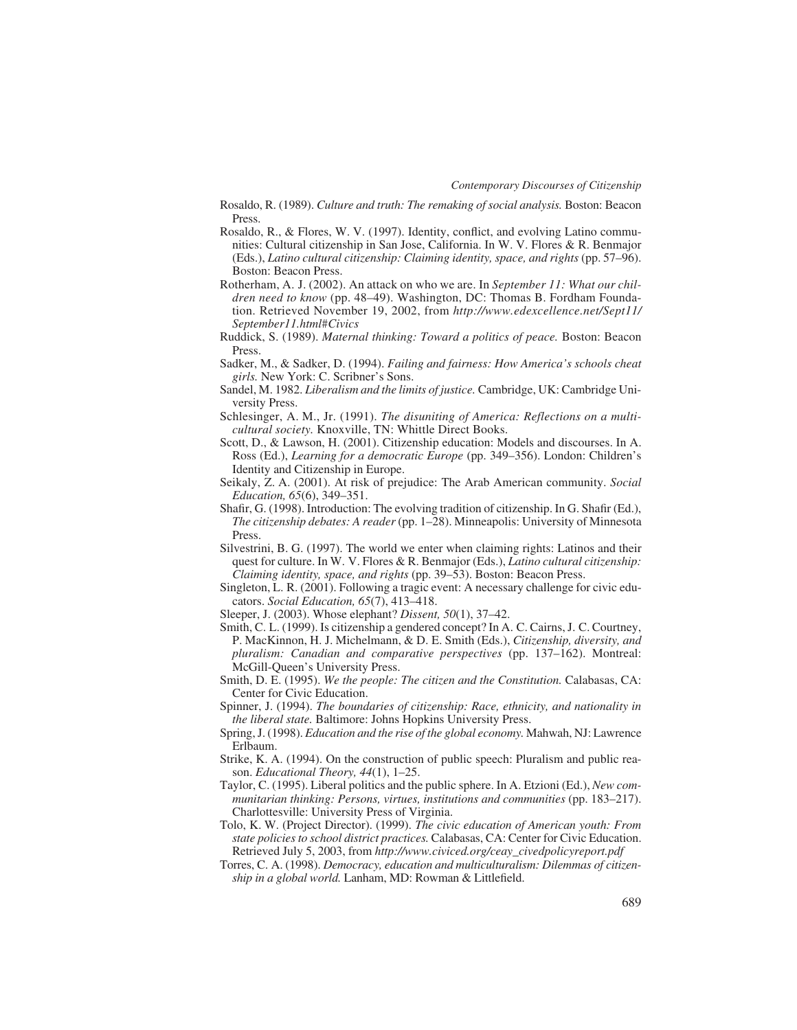- Rosaldo, R. (1989). *Culture and truth: The remaking of social analysis.* Boston: Beacon Press.
- Rosaldo, R., & Flores, W. V. (1997). Identity, conflict, and evolving Latino communities: Cultural citizenship in San Jose, California. In W. V. Flores & R. Benmajor (Eds.), *Latino cultural citizenship: Claiming identity, space, and rights* (pp. 57–96). Boston: Beacon Press.
- Rotherham, A. J. (2002). An attack on who we are. In *September 11: What our children need to know* (pp. 48–49). Washington, DC: Thomas B. Fordham Foundation. Retrieved November 19, 2002, from *http://www.edexcellence.net/Sept11/ September11.html*#*Civics*
- Ruddick, S. (1989). *Maternal thinking: Toward a politics of peace.* Boston: Beacon Press.
- Sadker, M., & Sadker, D. (1994). *Failing and fairness: How America's schools cheat girls.* New York: C. Scribner's Sons.
- Sandel, M. 1982. *Liberalism and the limits of justice.* Cambridge, UK: Cambridge University Press.
- Schlesinger, A. M., Jr. (1991). *The disuniting of America: Reflections on a multicultural society.* Knoxville, TN: Whittle Direct Books.
- Scott, D., & Lawson, H. (2001). Citizenship education: Models and discourses. In A. Ross (Ed.), *Learning for a democratic Europe* (pp. 349–356). London: Children's Identity and Citizenship in Europe.
- Seikaly, Z. A. (2001). At risk of prejudice: The Arab American community. *Social Education, 65*(6), 349–351.
- Shafir, G. (1998). Introduction: The evolving tradition of citizenship. In G. Shafir (Ed.), *The citizenship debates: A reader*(pp. 1–28). Minneapolis: University of Minnesota Press.
- Silvestrini, B. G. (1997). The world we enter when claiming rights: Latinos and their quest for culture. In W. V. Flores & R. Benmajor (Eds.), *Latino cultural citizenship: Claiming identity, space, and rights* (pp. 39–53). Boston: Beacon Press.
- Singleton, L. R. (2001). Following a tragic event: A necessary challenge for civic educators. *Social Education, 65*(7), 413–418.
- Sleeper, J. (2003). Whose elephant? *Dissent, 50*(1), 37–42.
- Smith, C. L. (1999). Is citizenship a gendered concept? In A. C. Cairns, J. C. Courtney, P. MacKinnon, H. J. Michelmann, & D. E. Smith (Eds.), *Citizenship, diversity, and pluralism: Canadian and comparative perspectives* (pp. 137–162). Montreal: McGill-Queen's University Press.
- Smith, D. E. (1995). *We the people: The citizen and the Constitution.* Calabasas, CA: Center for Civic Education.
- Spinner, J. (1994). *The boundaries of citizenship: Race, ethnicity, and nationality in the liberal state.* Baltimore: Johns Hopkins University Press.
- Spring,J. (1998). *Education and the rise of the global economy.* Mahwah, NJ: Lawrence Erlbaum.
- Strike, K. A. (1994). On the construction of public speech: Pluralism and public reason. *Educational Theory, 44*(1), 1–25.
- Taylor, C. (1995). Liberal politics and the public sphere. In A. Etzioni (Ed.), *New communitarian thinking: Persons, virtues, institutions and communities* (pp. 183–217). Charlottesville: University Press of Virginia.
- Tolo, K. W. (Project Director). (1999). *The civic education of American youth: From state policiesto school district practices.* Calabasas, CA: Center for Civic Education. Retrieved July 5, 2003, from *http://www.civiced.org/ceay\_civedpolicyreport.pdf*
- Torres, C. A. (1998). *Democracy, education and multiculturalism: Dilemmas of citizenship in a global world.* Lanham, MD: Rowman & Littlefield.